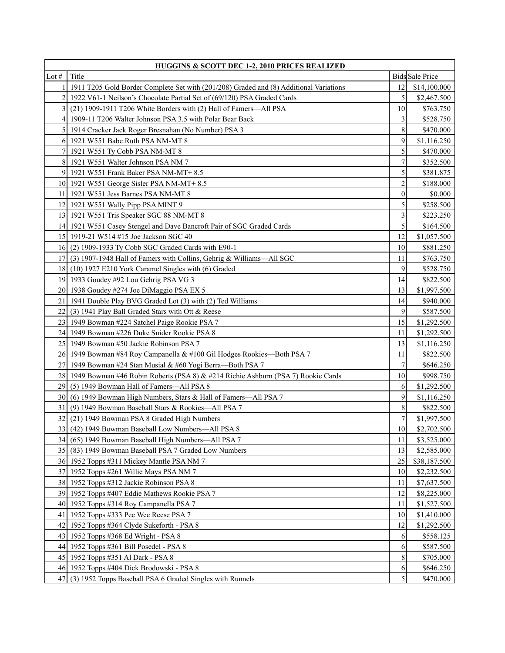| <b>HUGGINS &amp; SCOTT DEC 1-2, 2010 PRICES REALIZED</b> |                                                                                        |                  |                        |
|----------------------------------------------------------|----------------------------------------------------------------------------------------|------------------|------------------------|
| Lot $#$                                                  | Title                                                                                  |                  | <b>Bids</b> Sale Price |
| 1                                                        | 1911 T205 Gold Border Complete Set with (201/208) Graded and (8) Additional Variations | 12               | \$14,100.000           |
| 2                                                        | 1922 V61-1 Neilson's Chocolate Partial Set of (69/120) PSA Graded Cards                | 5                | \$2,467.500            |
| $\overline{3}$                                           | (21) 1909-1911 T206 White Borders with (2) Hall of Famers-All PSA                      | 10               | \$763.750              |
| $\left 4\right $                                         | 1909-11 T206 Walter Johnson PSA 3.5 with Polar Bear Back                               | 3                | \$528.750              |
| $\mathcal{F}$                                            | 1914 Cracker Jack Roger Bresnahan (No Number) PSA 3                                    | 8                | \$470.000              |
| 6                                                        | 1921 W551 Babe Ruth PSA NM-MT 8                                                        | 9                | \$1,116.250            |
| 7 <sup>1</sup>                                           | 1921 W551 Ty Cobb PSA NM-MT 8                                                          | 5                | \$470.000              |
| 8                                                        | 1921 W551 Walter Johnson PSA NM 7                                                      | $\overline{7}$   | \$352.500              |
|                                                          | 9 1921 W551 Frank Baker PSA NM-MT+8.5                                                  | 5                | \$381.875              |
|                                                          | 10 1921 W551 George Sisler PSA NM-MT+8.5                                               | $\overline{c}$   | \$188.000              |
| 11                                                       | 1921 W551 Jess Barnes PSA NM-MT 8                                                      | $\mathbf{0}$     | \$0.000                |
| 12                                                       | 1921 W551 Wally Pipp PSA MINT 9                                                        | 5                | \$258.500              |
| 13                                                       | 1921 W551 Tris Speaker SGC 88 NM-MT 8                                                  | 3                | \$223.250              |
| 14I                                                      | 1921 W551 Casey Stengel and Dave Bancroft Pair of SGC Graded Cards                     | 5                | \$164.500              |
|                                                          | 15 1919-21 W514 #15 Joe Jackson SGC 40                                                 | 12               | \$1,057.500            |
| 16 <sup>1</sup>                                          | $(2)$ 1909-1933 Ty Cobb SGC Graded Cards with E90-1                                    | 10               | \$881.250              |
| 17                                                       | (3) 1907-1948 Hall of Famers with Collins, Gehrig & Williams-All SGC                   | 11               | \$763.750              |
| 18                                                       | (10) 1927 E210 York Caramel Singles with (6) Graded                                    | 9                | \$528.750              |
| 19                                                       | 1933 Goudey #92 Lou Gehrig PSA VG 3                                                    | 14               | \$822.500              |
|                                                          | 20 1938 Goudey #274 Joe DiMaggio PSA EX 5                                              | 13               | \$1,997.500            |
| 21                                                       | 1941 Double Play BVG Graded Lot (3) with (2) Ted Williams                              | 14               | \$940.000              |
| 22 I                                                     | $(3)$ 1941 Play Ball Graded Stars with Ott & Reese                                     | 9                | \$587.500              |
| 23                                                       | 1949 Bowman #224 Satchel Paige Rookie PSA 7                                            | 15               | \$1,292.500            |
| 24 I                                                     | 1949 Bowman #226 Duke Snider Rookie PSA 8                                              | 11               | \$1,292.500            |
| 25                                                       | 1949 Bowman #50 Jackie Robinson PSA 7                                                  | 13               | \$1,116.250            |
|                                                          | 26 1949 Bowman #84 Roy Campanella & #100 Gil Hodges Rookies—Both PSA 7                 | 11               | \$822.500              |
| 27                                                       | 1949 Bowman #24 Stan Musial & #60 Yogi Berra—Both PSA 7                                | $\tau$           | \$646.250              |
|                                                          | 28 1949 Bowman #46 Robin Roberts (PSA 8) & #214 Richie Ashburn (PSA 7) Rookie Cards    | 10               | \$998.750              |
| 29                                                       | (5) 1949 Bowman Hall of Famers—All PSA 8                                               | 6                | \$1,292.500            |
| 30                                                       | (6) 1949 Bowman High Numbers, Stars & Hall of Famers—All PSA 7                         | 9                | \$1,116.250            |
| 31                                                       | (9) 1949 Bowman Baseball Stars & Rookies-All PSA 7                                     | 8                | \$822.500              |
| 32                                                       | (21) 1949 Bowman PSA 8 Graded High Numbers                                             | $\boldsymbol{7}$ | \$1,997.500            |
|                                                          | 33 (42) 1949 Bowman Baseball Low Numbers—All PSA 8                                     | 10               | \$2,702.500            |
|                                                          | 34 (65) 1949 Bowman Baseball High Numbers—All PSA 7                                    | 11               | \$3,525.000            |
|                                                          | 35 (83) 1949 Bowman Baseball PSA 7 Graded Low Numbers                                  | 13               | \$2,585.000            |
|                                                          | 36 1952 Topps #311 Mickey Mantle PSA NM 7                                              | 25               | \$38,187.500           |
|                                                          | 37 1952 Topps #261 Willie Mays PSA NM 7                                                | 10               | \$2,232.500            |
|                                                          | 38 1952 Topps #312 Jackie Robinson PSA 8                                               | 11               | \$7,637.500            |
|                                                          | 39 1952 Topps #407 Eddie Mathews Rookie PSA 7                                          | 12               | \$8,225.000            |
|                                                          | 40 1952 Topps #314 Roy Campanella PSA 7                                                | 11               | \$1,527.500            |
| 411                                                      | 1952 Topps #333 Pee Wee Reese PSA 7                                                    | $10\,$           | \$1,410.000            |
| 421                                                      | 1952 Topps #364 Clyde Sukeforth - PSA 8                                                | 12               | \$1,292.500            |
|                                                          | 43 1952 Topps #368 Ed Wright - PSA 8                                                   | 6                | \$558.125              |
|                                                          | 44 1952 Topps #361 Bill Posedel - PSA 8                                                | 6                | \$587.500              |
|                                                          | 45 1952 Topps #351 Al Dark - PSA 8                                                     | 8                | \$705.000              |
|                                                          | 46 1952 Topps #404 Dick Brodowski - PSA 8                                              | 6                | \$646.250              |
| 47                                                       | (3) 1952 Topps Baseball PSA 6 Graded Singles with Runnels                              | 5                | \$470.000              |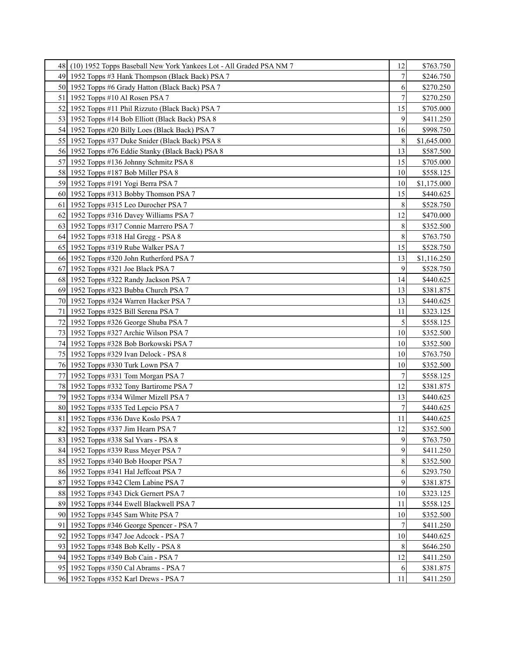| 48  | (10) 1952 Topps Baseball New York Yankees Lot - All Graded PSA NM 7 | 12             | \$763.750   |
|-----|---------------------------------------------------------------------|----------------|-------------|
| 491 | 1952 Topps #3 Hank Thompson (Black Back) PSA 7                      | 7              | \$246.750   |
|     | 50 1952 Topps #6 Grady Hatton (Black Back) PSA 7                    | 6              | \$270.250   |
| 51  | 1952 Topps #10 Al Rosen PSA 7                                       | $\overline{7}$ | \$270.250   |
|     | 52 1952 Topps #11 Phil Rizzuto (Black Back) PSA 7                   | 15             | \$705.000   |
|     | 53 1952 Topps #14 Bob Elliott (Black Back) PSA 8                    | 9              | \$411.250   |
|     | 54 1952 Topps #20 Billy Loes (Black Back) PSA 7                     | 16             | \$998.750   |
|     | 55 1952 Topps #37 Duke Snider (Black Back) PSA 8                    | 8              | \$1,645.000 |
|     | 56 1952 Topps #76 Eddie Stanky (Black Back) PSA 8                   | 13             | \$587.500   |
| 57  | 1952 Topps #136 Johnny Schmitz PSA 8                                | 15             | \$705.000   |
|     | 58 1952 Topps #187 Bob Miller PSA 8                                 | 10             | \$558.125   |
|     | 59 1952 Topps #191 Yogi Berra PSA 7                                 | 10             | \$1,175.000 |
|     | 60 1952 Topps #313 Bobby Thomson PSA 7                              | 15             | \$440.625   |
| 61  | 1952 Topps #315 Leo Durocher PSA 7                                  | 8              | \$528.750   |
|     | 62 1952 Topps #316 Davey Williams PSA 7                             | 12             | \$470.000   |
|     | 63 1952 Topps #317 Connie Marrero PSA 7                             | 8              | \$352.500   |
|     | 64 1952 Topps #318 Hal Gregg - PSA 8                                | 8              | \$763.750   |
|     | 65 1952 Topps #319 Rube Walker PSA 7                                | 15             | \$528.750   |
|     | 66 1952 Topps #320 John Rutherford PSA 7                            | 13             | \$1,116.250 |
|     | 67 1952 Topps #321 Joe Black PSA 7                                  | 9              | \$528.750   |
|     | 68 1952 Topps #322 Randy Jackson PSA 7                              | 14             | \$440.625   |
|     | 69 1952 Topps #323 Bubba Church PSA 7                               | 13             | \$381.875   |
| 70  | 1952 Topps #324 Warren Hacker PSA 7                                 | 13             | \$440.625   |
| 71  | 1952 Topps #325 Bill Serena PSA 7                                   | 11             | \$323.125   |
|     | 72 1952 Topps #326 George Shuba PSA 7                               | 5              | \$558.125   |
|     | 73 1952 Topps #327 Archie Wilson PSA 7                              | 10             | \$352.500   |
|     | 74   1952 Topps #328 Bob Borkowski PSA 7                            | 10             | \$352.500   |
|     | 75   1952 Topps #329 Ivan Delock - PSA 8                            | 10             | \$763.750   |
|     | 76 1952 Topps #330 Turk Lown PSA 7                                  | 10             | \$352.500   |
|     | 77 1952 Topps #331 Tom Morgan PSA 7                                 | 7              | \$558.125   |
|     | 78 1952 Topps #332 Tony Bartirome PSA 7                             | 12             | \$381.875   |
|     | 79 1952 Topps #334 Wilmer Mizell PSA 7                              | 13             | \$440.625   |
|     | 80 1952 Topps #335 Ted Lepcio PSA 7                                 | 7              | \$440.625   |
| 81  | 1952 Topps #336 Dave Koslo PSA 7                                    | 11             | \$440.625   |
|     | 82 1952 Topps #337 Jim Hearn PSA 7                                  | 12             | \$352.500   |
|     | 83 1952 Topps #338 Sal Yvars - PSA 8                                | 9              | \$763.750   |
|     | 84 1952 Topps #339 Russ Meyer PSA 7                                 | 9              | \$411.250   |
|     | 85 1952 Topps #340 Bob Hooper PSA 7                                 | 8              | \$352.500   |
|     | 86 1952 Topps #341 Hal Jeffcoat PSA 7                               | 6              | \$293.750   |
|     | 87 1952 Topps #342 Clem Labine PSA 7                                | 9              | \$381.875   |
|     | 88 1952 Topps #343 Dick Gernert PSA 7                               | 10             | \$323.125   |
|     | 89 1952 Topps #344 Ewell Blackwell PSA 7                            | 11             | \$558.125   |
|     | 90 1952 Topps #345 Sam White PSA 7                                  | 10             | \$352.500   |
|     | 91   1952 Topps #346 George Spencer - PSA 7                         | 7              | \$411.250   |
|     | 92 1952 Topps #347 Joe Adcock - PSA 7                               | 10             | \$440.625   |
|     | 93 1952 Topps #348 Bob Kelly - PSA 8                                | 8              | \$646.250   |
|     | 94 1952 Topps #349 Bob Cain - PSA 7                                 | 12             | \$411.250   |
|     | 95 1952 Topps #350 Cal Abrams - PSA 7                               | 6              | \$381.875   |
|     | 96 1952 Topps #352 Karl Drews - PSA 7                               | 11             | \$411.250   |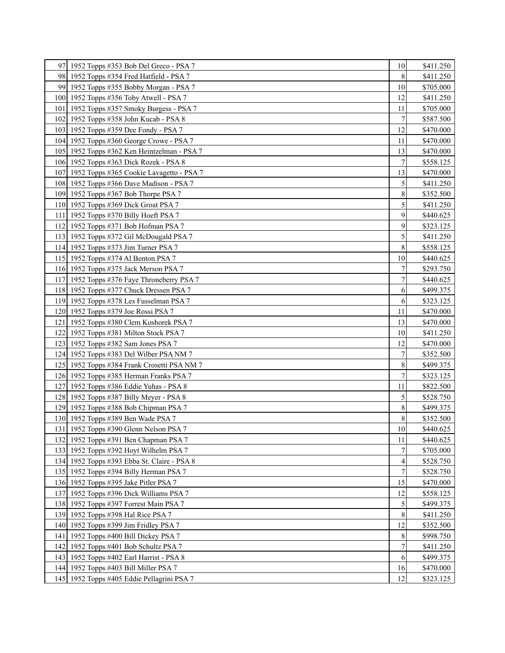| 97 1952 Topps #353 Bob Del Greco - PSA 7     | 10             | \$411.250 |
|----------------------------------------------|----------------|-----------|
| 98 1952 Topps #354 Fred Hatfield - PSA 7     | 8              | \$411.250 |
| 99 1952 Topps #355 Bobby Morgan - PSA 7      | 10             | \$705.000 |
| 100 1952 Topps #356 Toby Atwell - PSA 7      | 12             | \$411.250 |
| 101   1952 Topps #357 Smoky Burgess - PSA 7  | 11             | \$705.000 |
| 102 1952 Topps #358 John Kucab - PSA 8       | 7              | \$587.500 |
| 103 1952 Topps #359 Dee Fondy - PSA 7        | 12             | \$470.000 |
| 104 1952 Topps #360 George Crowe - PSA 7     | 11             | \$470.000 |
| 105 1952 Topps #362 Ken Heintzelman - PSA 7  | 13             | \$470.000 |
| 106 1952 Topps #363 Dick Rozek - PSA 8       | $\overline{7}$ | \$558.125 |
| 107 1952 Topps #365 Cookie Lavagetto - PSA 7 | 13             | \$470.000 |
| 108 1952 Topps #366 Dave Madison - PSA 7     | 5              | \$411.250 |
| 109 1952 Topps #367 Bob Thorpe PSA 7         | 8              | \$352.500 |
| 110 1952 Topps #369 Dick Groat PSA 7         | 5              | \$411.250 |
| 111 1952 Topps #370 Billy Hoeft PSA 7        | 9              | \$440.625 |
| 112 1952 Topps #371 Bob Hofman PSA 7         | 9              | \$323.125 |
| 113 1952 Topps #372 Gil McDougald PSA 7      | 5              | \$411.250 |
| 114 1952 Topps #373 Jim Turner PSA 7         | 8              | \$558.125 |
| 115 1952 Topps #374 Al Benton PSA 7          | 10             | \$440.625 |
| 116 1952 Topps #375 Jack Merson PSA 7        | 7              | \$293.750 |
| 117 1952 Topps #376 Faye Throneberry PSA 7   | $\overline{7}$ | \$440.625 |
| 118 1952 Topps #377 Chuck Dressen PSA 7      | 6              | \$499.375 |
| 119 1952 Topps #378 Les Fusselman PSA 7      | 6              | \$323.125 |
| 120 1952 Topps #379 Joe Rossi PSA 7          | 11             | \$470.000 |
| 121   1952 Topps #380 Clem Koshorek PSA 7    | 13             | \$470.000 |
| 122 1952 Topps #381 Milton Stock PSA 7       | 10             | \$411.250 |
| 123 1952 Topps #382 Sam Jones PSA 7          | 12             | \$470.000 |
| 124 1952 Topps #383 Del Wilber PSA NM 7      | 7              | \$352.500 |
| 125 1952 Topps #384 Frank Crosetti PSA NM 7  | 8              | \$499.375 |
| 126 1952 Topps #385 Herman Franks PSA 7      | $\overline{7}$ | \$323.125 |
| 127 1952 Topps #386 Eddie Yuhas - PSA 8      | 11             | \$822.500 |
| 128 1952 Topps #387 Billy Meyer - PSA 8      | 5              | \$528.750 |
| 129 1952 Topps #388 Bob Chipman PSA 7        | 8              | \$499.375 |
| 130 1952 Topps #389 Ben Wade PSA 7           | 8              | \$352.500 |
| 131   1952 Topps #390 Glenn Nelson PSA 7     | $10\,$         | \$440.625 |
| 132 1952 Topps #391 Ben Chapman PSA 7        | 11             | \$440.625 |
| 133 1952 Topps #392 Hoyt Wilhelm PSA 7       |                | \$705.000 |
| 134 1952 Topps #393 Ebba St. Claire - PSA 8  | 4              | \$528.750 |
| 135 1952 Topps #394 Billy Herman PSA 7       | $\overline{7}$ | \$528.750 |
| 136 1952 Topps #395 Jake Pitler PSA 7        | 15             | \$470.000 |
| 137 1952 Topps #396 Dick Williams PSA 7      | 12             | \$558.125 |
| 138 1952 Topps #397 Forrest Main PSA 7       | 5              | \$499.375 |
| 139 1952 Topps #398 Hal Rice PSA 7           | $\,8\,$        | \$411.250 |
| 140 1952 Topps #399 Jim Fridley PSA 7        | 12             | \$352.500 |
| 141 1952 Topps #400 Bill Dickey PSA 7        | 8              | \$998.750 |
| 142 1952 Topps #401 Bob Schultz PSA 7        | 7              | \$411.250 |
| 143 1952 Topps #402 Earl Harrist - PSA 8     | 6              | \$499.375 |
| 144 1952 Topps #403 Bill Miller PSA 7        | 16             | \$470.000 |
| 145 1952 Topps #405 Eddie Pellagrini PSA 7   | 12             | \$323.125 |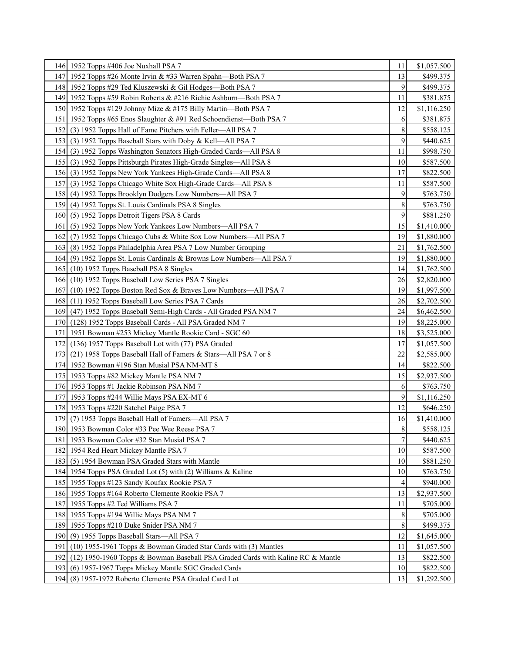|                  | 146 1952 Topps #406 Joe Nuxhall PSA 7                                           | 11             | \$1,057.500 |
|------------------|---------------------------------------------------------------------------------|----------------|-------------|
|                  | 147 1952 Topps #26 Monte Irvin & #33 Warren Spahn—Both PSA 7                    | 13             | \$499.375   |
|                  | 148 1952 Topps #29 Ted Kluszewski & Gil Hodges—Both PSA 7                       | 9              | \$499.375   |
|                  | 149 1952 Topps #59 Robin Roberts & #216 Richie Ashburn—Both PSA 7               | 11             | \$381.875   |
|                  | 150 1952 Topps #129 Johnny Mize & #175 Billy Martin—Both PSA 7                  | 12             | \$1,116.250 |
| 151              | 1952 Topps #65 Enos Slaughter & #91 Red Schoendienst—Both PSA 7                 | 6              | \$381.875   |
| 152 l            | (3) 1952 Topps Hall of Fame Pitchers with Feller—All PSA 7                      | 8              | \$558.125   |
|                  | 153 (3) 1952 Topps Baseball Stars with Doby & Kell—All PSA 7                    | 9              | \$440.625   |
| 154              | (3) 1952 Topps Washington Senators High-Graded Cards—All PSA 8                  | 11             | \$998.750   |
|                  | 155 (3) 1952 Topps Pittsburgh Pirates High-Grade Singles—All PSA 8              | 10             | \$587.500   |
|                  | 156 (3) 1952 Topps New York Yankees High-Grade Cards—All PSA 8                  | 17             | \$822.500   |
| 157              | (3) 1952 Topps Chicago White Sox High-Grade Cards—All PSA 8                     | 11             | \$587.500   |
|                  | 158 (4) 1952 Topps Brooklyn Dodgers Low Numbers—All PSA 7                       | 9              | \$763.750   |
|                  | 159 (4) 1952 Topps St. Louis Cardinals PSA 8 Singles                            | 8              | \$763.750   |
|                  | 160 (5) 1952 Topps Detroit Tigers PSA 8 Cards                                   | 9              | \$881.250   |
| 161              | (5) 1952 Topps New York Yankees Low Numbers—All PSA 7                           | 15             | \$1,410.000 |
|                  | 162 (7) 1952 Topps Chicago Cubs & White Sox Low Numbers—All PSA 7               | 19             | \$1,880.000 |
|                  | 163 (8) 1952 Topps Philadelphia Area PSA 7 Low Number Grouping                  | 21             | \$1,762.500 |
|                  | 164 (9) 1952 Topps St. Louis Cardinals & Browns Low Numbers—All PSA 7           | 19             | \$1,880.000 |
|                  | 165 (10) 1952 Topps Baseball PSA 8 Singles                                      | 14             | \$1,762.500 |
|                  | 166 (10) 1952 Topps Baseball Low Series PSA 7 Singles                           | 26             | \$2,820.000 |
| 167              | (10) 1952 Topps Boston Red Sox & Braves Low Numbers—All PSA 7                   | 19             | \$1,997.500 |
|                  | 168 (11) 1952 Topps Baseball Low Series PSA 7 Cards                             | 26             | \$2,702.500 |
|                  | 169 (47) 1952 Topps Baseball Semi-High Cards - All Graded PSA NM 7              | 24             | \$6,462.500 |
|                  | 170 (128) 1952 Topps Baseball Cards - All PSA Graded NM 7                       | 19             | \$8,225.000 |
| 171              | 1951 Bowman #253 Mickey Mantle Rookie Card - SGC 60                             | 18             | \$3,525.000 |
|                  | 172 (136) 1957 Topps Baseball Lot with (77) PSA Graded                          | 17             | \$1,057.500 |
| 1731             | (21) 1958 Topps Baseball Hall of Famers & Stars—All PSA 7 or 8                  | 22             | \$2,585.000 |
|                  | 174 1952 Bowman #196 Stan Musial PSA NM-MT 8                                    | 14             | \$822.500   |
|                  | 175 1953 Topps #82 Mickey Mantle PSA NM 7                                       | 15             | \$2,937.500 |
|                  | 176 1953 Topps #1 Jackie Robinson PSA NM 7                                      | 6              | \$763.750   |
|                  | 177 1953 Topps #244 Willie Mays PSA EX-MT 6                                     | 9              | \$1,116.250 |
|                  | 178 1953 Topps #220 Satchel Paige PSA 7                                         | 12             | \$646.250   |
| 179              | (7) 1953 Topps Baseball Hall of Famers—All PSA 7                                | 16             | \$1,410.000 |
|                  | 180 1953 Bowman Color #33 Pee Wee Reese PSA 7                                   | $\bf 8$        | \$558.125   |
|                  | 181   1953 Bowman Color #32 Stan Musial PSA 7                                   | $\tau$         | \$440.625   |
|                  | 182 1954 Red Heart Mickey Mantle PSA 7                                          | 10             | \$587.500   |
|                  | 183 (5) 1954 Bowman PSA Graded Stars with Mantle                                | 10             | \$881.250   |
|                  | 184 1954 Topps PSA Graded Lot (5) with (2) Williams & Kaline                    | 10             | \$763.750   |
|                  | 185 1955 Topps #123 Sandy Koufax Rookie PSA 7                                   | $\overline{4}$ | \$940.000   |
|                  | 186 1955 Topps #164 Roberto Clemente Rookie PSA 7                               | 13             | \$2,937.500 |
|                  | 187 1955 Topps #2 Ted Williams PSA 7                                            | 11             | \$705.000   |
|                  | 188 1955 Topps #194 Willie Mays PSA NM 7                                        | 8              | \$705.000   |
|                  | 189 1955 Topps #210 Duke Snider PSA NM 7                                        | 8              | \$499.375   |
| 190 <sup>1</sup> | (9) 1955 Topps Baseball Stars-All PSA 7                                         | 12             | \$1,645.000 |
| 191              | (10) 1955-1961 Topps & Bowman Graded Star Cards with (3) Mantles                | 11             | \$1,057.500 |
| 192              | (12) 1950-1960 Topps & Bowman Baseball PSA Graded Cards with Kaline RC & Mantle | 13             | \$822.500   |
|                  | 193 (6) 1957-1967 Topps Mickey Mantle SGC Graded Cards                          | 10             | \$822.500   |
|                  | 194 (8) 1957-1972 Roberto Clemente PSA Graded Card Lot                          | 13             | \$1,292.500 |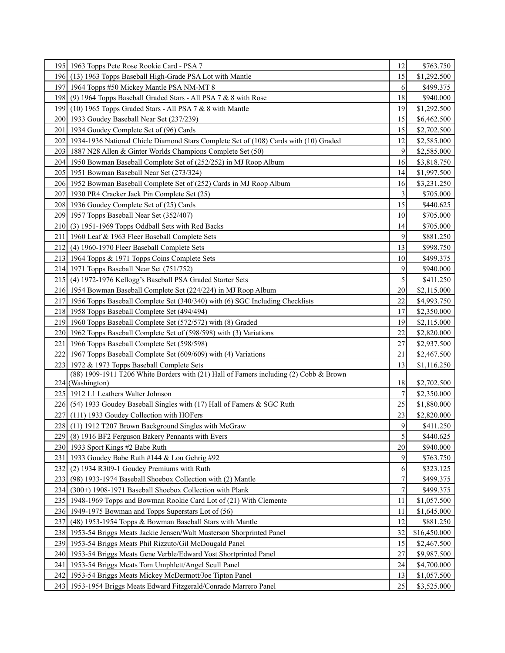|       | 195   1963 Topps Pete Rose Rookie Card - PSA 7                                             | 12               | \$763.750    |
|-------|--------------------------------------------------------------------------------------------|------------------|--------------|
|       | 196 (13) 1963 Topps Baseball High-Grade PSA Lot with Mantle                                | 15               | \$1,292.500  |
|       | 197 1964 Topps #50 Mickey Mantle PSA NM-MT 8                                               | 6                | \$499.375    |
|       | 198 (9) 1964 Topps Baseball Graded Stars - All PSA 7 & 8 with Rose                         | 18               | \$940.000    |
|       | 199 (10) 1965 Topps Graded Stars - All PSA 7 $&$ 8 with Mantle                             | 19               | \$1,292.500  |
|       | 200 1933 Goudey Baseball Near Set (237/239)                                                | 15               | \$6,462.500  |
|       | 201   1934 Goudey Complete Set of (96) Cards                                               | 15               | \$2,702.500  |
|       | 202   1934-1936 National Chicle Diamond Stars Complete Set of (108) Cards with (10) Graded | 12               | \$2,585.000  |
|       | 203   1887 N28 Allen & Ginter Worlds Champions Complete Set (50)                           | 9                | \$2,585.000  |
|       | 204 1950 Bowman Baseball Complete Set of (252/252) in MJ Roop Album                        | 16               | \$3,818.750  |
|       | 205   1951 Bowman Baseball Near Set (273/324)                                              | 14               | \$1,997.500  |
|       | 206 1952 Bowman Baseball Complete Set of (252) Cards in MJ Roop Album                      | 16               | \$3,231.250  |
|       | 207   1930 PR4 Cracker Jack Pin Complete Set (25)                                          | 3                | \$705.000    |
|       | 208 1936 Goudey Complete Set of (25) Cards                                                 | 15               | \$440.625    |
|       | 209 1957 Topps Baseball Near Set (352/407)                                                 | 10               | \$705.000    |
|       | 210 (3) 1951-1969 Topps Oddball Sets with Red Backs                                        | 14               | \$705.000    |
|       | 211   1960 Leaf & 1963 Fleer Baseball Complete Sets                                        | 9                | \$881.250    |
|       | 212 (4) 1960-1970 Fleer Baseball Complete Sets                                             | 13               | \$998.750    |
|       | 213 1964 Topps & 1971 Topps Coins Complete Sets                                            | 10               | \$499.375    |
|       | 214 1971 Topps Baseball Near Set (751/752)                                                 | 9                | \$940.000    |
|       | 215 (4) 1972-1976 Kellogg's Baseball PSA Graded Starter Sets                               | 5                | \$411.250    |
|       | 216 1954 Bowman Baseball Complete Set (224/224) in MJ Roop Album                           | 20               | \$2,115.000  |
|       | 217 1956 Topps Baseball Complete Set (340/340) with (6) SGC Including Checklists           | 22               | \$4,993.750  |
|       | 218 1958 Topps Baseball Complete Set (494/494)                                             | 17               | \$2,350.000  |
|       | 219 1960 Topps Baseball Complete Set (572/572) with (8) Graded                             | 19               | \$2,115.000  |
|       | 220   1962 Topps Baseball Complete Set of (598/598) with (3) Variations                    | 22               | \$2,820.000  |
|       | 221   1966 Topps Baseball Complete Set (598/598)                                           | 27               | \$2,937.500  |
|       | 222 1967 Topps Baseball Complete Set (609/609) with (4) Variations                         | 21               | \$2,467.500  |
|       | 223 1972 & 1973 Topps Baseball Complete Sets                                               | 13               | \$1,116.250  |
|       | (88) 1909-1911 T206 White Borders with (21) Hall of Famers including (2) Cobb & Brown      |                  |              |
|       | 224 (Washington)                                                                           | 18               | \$2,702.500  |
|       | 225 1912 L1 Leathers Walter Johnson                                                        | $\boldsymbol{7}$ | \$2,350.000  |
|       | 226 (54) 1933 Goudey Baseball Singles with (17) Hall of Famers & SGC Ruth                  | 25               | \$1,880.000  |
|       | 227 (111) 1933 Goudey Collection with HOFers                                               | 23               | \$2,820.000  |
|       | 228 (11) 1912 T207 Brown Background Singles with McGraw                                    | 9                | \$411.250    |
| 229   | (8) 1916 BF2 Ferguson Bakery Pennants with Evers                                           | 5                | \$440.625    |
|       | 230 1933 Sport Kings #2 Babe Ruth                                                          | 20               | \$940.000    |
| 231   | 1933 Goudey Babe Ruth #144 & Lou Gehrig #92                                                | 9                | \$763.750    |
| 232   | (2) 1934 R309-1 Goudey Premiums with Ruth                                                  | 6                | \$323.125    |
| 233   | (98) 1933-1974 Baseball Shoebox Collection with (2) Mantle                                 | 7                | \$499.375    |
| 234 I | (300+) 1908-1971 Baseball Shoebox Collection with Plank                                    | 7                | \$499.375    |
|       | 235 1948-1969 Topps and Bowman Rookie Card Lot of (21) With Clemente                       | 11               | \$1,057.500  |
|       | 236 1949-1975 Bowman and Topps Superstars Lot of (56)                                      | 11               | \$1,645.000  |
| 237   | (48) 1953-1954 Topps & Bowman Baseball Stars with Mantle                                   | 12               | \$881.250    |
|       | 238 1953-54 Briggs Meats Jackie Jensen/Walt Masterson Shorprinted Panel                    | 32               | \$16,450.000 |
|       | 239 1953-54 Briggs Meats Phil Rizzuto/Gil McDougald Panel                                  | 15               | \$2,467.500  |
|       | 240 1953-54 Briggs Meats Gene Verble/Edward Yost Shortprinted Panel                        | 27               | \$9,987.500  |
|       | 241   1953-54 Briggs Meats Tom Umphlett/Angel Scull Panel                                  | 24               | \$4,700.000  |
|       | 242 1953-54 Briggs Meats Mickey McDermott/Joe Tipton Panel                                 | 13               | \$1,057.500  |
|       | 243   1953-1954 Briggs Meats Edward Fitzgerald/Conrado Marrero Panel                       | 25               | \$3,525.000  |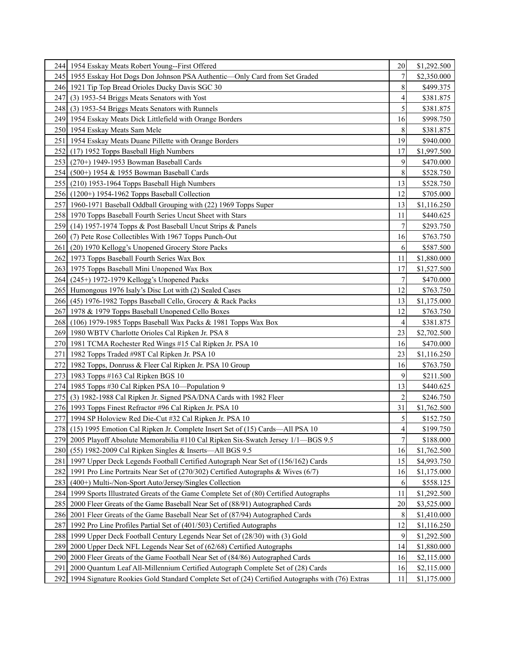|                  | 244 1954 Esskay Meats Robert Young--First Offered                                               | 20             | \$1,292.500 |
|------------------|-------------------------------------------------------------------------------------------------|----------------|-------------|
|                  | 245 1955 Esskay Hot Dogs Don Johnson PSA Authentic—Only Card from Set Graded                    | 7              | \$2,350.000 |
|                  | 246 1921 Tip Top Bread Orioles Ducky Davis SGC 30                                               | 8              | \$499.375   |
|                  | 247 (3) 1953-54 Briggs Meats Senators with Yost                                                 | 4              | \$381.875   |
|                  | 248 (3) 1953-54 Briggs Meats Senators with Runnels                                              | 5              | \$381.875   |
|                  | 249 1954 Esskay Meats Dick Littlefield with Orange Borders                                      | 16             | \$998.750   |
|                  | 250 1954 Esskay Meats Sam Mele                                                                  | 8              | \$381.875   |
|                  | 251   1954 Esskay Meats Duane Pillette with Orange Borders                                      | 19             | \$940.000   |
|                  | 252 (17) 1952 Topps Baseball High Numbers                                                       | 17             | \$1,997.500 |
|                  | 253 (270+) 1949-1953 Bowman Baseball Cards                                                      | 9              | \$470.000   |
|                  | 254 (500+) 1954 & 1955 Bowman Baseball Cards                                                    | 8              | \$528.750   |
|                  | 255 (210) 1953-1964 Topps Baseball High Numbers                                                 | 13             | \$528.750   |
|                  | 256 (1200+) 1954-1962 Topps Baseball Collection                                                 | 12             | \$705.000   |
|                  | 257 1960-1971 Baseball Oddball Grouping with (22) 1969 Topps Super                              | 13             | \$1,116.250 |
|                  | 258 1970 Topps Baseball Fourth Series Uncut Sheet with Stars                                    | 11             | \$440.625   |
|                  | 259 (14) 1957-1974 Topps & Post Baseball Uncut Strips & Panels                                  | 7              | \$293.750   |
|                  | 260 (7) Pete Rose Collectibles With 1967 Topps Punch-Out                                        | 16             | \$763.750   |
|                  | 261 (20) 1970 Kellogg's Unopened Grocery Store Packs                                            | 6              | \$587.500   |
|                  | 262 1973 Topps Baseball Fourth Series Wax Box                                                   | 11             | \$1,880.000 |
|                  | 263 1975 Topps Baseball Mini Unopened Wax Box                                                   | 17             | \$1,527.500 |
|                  | 264 (245+) 1972-1979 Kellogg's Unopened Packs                                                   | 7              | \$470.000   |
|                  | 265 Humongous 1976 Isaly's Disc Lot with (2) Sealed Cases                                       | 12             | \$763.750   |
|                  | 266 (45) 1976-1982 Topps Baseball Cello, Grocery & Rack Packs                                   | 13             | \$1,175.000 |
|                  | 267 1978 & 1979 Topps Baseball Unopened Cello Boxes                                             | 12             | \$763.750   |
|                  | 268 (106) 1979-1985 Topps Baseball Wax Packs & 1981 Topps Wax Box                               | 4              | \$381.875   |
|                  | 269 1980 WBTV Charlotte Orioles Cal Ripken Jr. PSA 8                                            | 23             | \$2,702.500 |
|                  | 270   1981 TCMA Rochester Red Wings #15 Cal Ripken Jr. PSA 10                                   | 16             | \$470.000   |
|                  | 271   1982 Topps Traded #98T Cal Ripken Jr. PSA 10                                              | 23             | \$1,116.250 |
|                  | 272 1982 Topps, Donruss & Fleer Cal Ripken Jr. PSA 10 Group                                     | 16             | \$763.750   |
|                  | 273 1983 Topps #163 Cal Ripken BGS 10                                                           | 9              | \$211.500   |
|                  | 274 1985 Topps #30 Cal Ripken PSA 10—Population 9                                               | 13             | \$440.625   |
|                  | 275 (3) 1982-1988 Cal Ripken Jr. Signed PSA/DNA Cards with 1982 Fleer                           | $\overline{c}$ | \$246.750   |
|                  | 276 1993 Topps Finest Refractor #96 Cal Ripken Jr. PSA 10                                       | 31             | \$1,762.500 |
|                  | 277 1994 SP Holoview Red Die-Cut #32 Cal Ripken Jr. PSA 10                                      | 5              | \$152.750   |
|                  | 278 (15) 1995 Emotion Cal Ripken Jr. Complete Insert Set of (15) Cards—All PSA 10               | $\overline{4}$ | \$199.750   |
|                  | 279 2005 Playoff Absolute Memorabilia #110 Cal Ripken Six-Swatch Jersey 1/1—BGS 9.5             | $7\vert$       | \$188.000   |
| 280 <sub>1</sub> | (55) 1982-2009 Cal Ripken Singles & Inserts-All BGS 9.5                                         | 16             | \$1,762.500 |
|                  | 281 1997 Upper Deck Legends Football Certified Autograph Near Set of (156/162) Cards            | 15             | \$4,993.750 |
| 282 I            | 1991 Pro Line Portraits Near Set of (270/302) Certified Autographs & Wives (6/7)                | 16             | \$1,175.000 |
| 283 I            | (400+) Multi-/Non-Sport Auto/Jersey/Singles Collection                                          | 6              | \$558.125   |
|                  | 284 1999 Sports Illustrated Greats of the Game Complete Set of (80) Certified Autographs        | 11             | \$1,292.500 |
| 285              | 2000 Fleer Greats of the Game Baseball Near Set of (88/91) Autographed Cards                    | 20             | \$3,525.000 |
|                  | 286 2001 Fleer Greats of the Game Baseball Near Set of (87/94) Autographed Cards                | $\,8\,$        | \$1,410.000 |
| 287              | 1992 Pro Line Profiles Partial Set of (401/503) Certified Autographs                            | 12             | \$1,116.250 |
|                  | 288 1999 Upper Deck Football Century Legends Near Set of (28/30) with (3) Gold                  | 9              | \$1,292.500 |
| 289              | 2000 Upper Deck NFL Legends Near Set of (62/68) Certified Autographs                            | 14             | \$1,880.000 |
| 290I             | 2000 Fleer Greats of the Game Football Near Set of (84/86) Autographed Cards                    | 16             | \$2,115.000 |
| 291              | 2000 Quantum Leaf All-Millennium Certified Autograph Complete Set of (28) Cards                 | 16             | \$2,115.000 |
| 292              | 1994 Signature Rookies Gold Standard Complete Set of (24) Certified Autographs with (76) Extras | 11             | \$1,175.000 |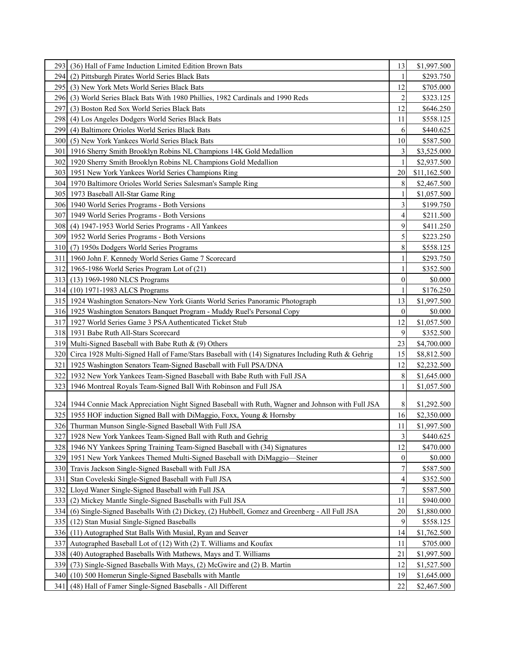|                  | 293 (36) Hall of Fame Induction Limited Edition Brown Bats                                          | 13               | \$1,997.500  |
|------------------|-----------------------------------------------------------------------------------------------------|------------------|--------------|
| 294 I            | (2) Pittsburgh Pirates World Series Black Bats                                                      | 1                | \$293.750    |
|                  | 295 (3) New York Mets World Series Black Bats                                                       | 12               | \$705.000    |
| 296 <sub>1</sub> | (3) World Series Black Bats With 1980 Phillies, 1982 Cardinals and 1990 Reds                        | 2                | \$323.125    |
| 297              | (3) Boston Red Sox World Series Black Bats                                                          | 12               | \$646.250    |
| 298              | (4) Los Angeles Dodgers World Series Black Bats                                                     | 11               | \$558.125    |
| 299 I            | (4) Baltimore Orioles World Series Black Bats                                                       | 6                | \$440.625    |
| 300I             | (5) New York Yankees World Series Black Bats                                                        | 10               | \$587.500    |
|                  | 301   1916 Sherry Smith Brooklyn Robins NL Champions 14K Gold Medallion                             | 3                | \$3,525.000  |
|                  | 302 1920 Sherry Smith Brooklyn Robins NL Champions Gold Medallion                                   | $\mathbf{1}$     | \$2,937.500  |
|                  | 303   1951 New York Yankees World Series Champions Ring                                             | 20               | \$11,162.500 |
|                  | 304   1970 Baltimore Orioles World Series Salesman's Sample Ring                                    | 8                | \$2,467.500  |
|                  | 305   1973 Baseball All-Star Game Ring                                                              |                  | \$1,057.500  |
|                  | 306 1940 World Series Programs - Both Versions                                                      | 3                | \$199.750    |
|                  | 307 1949 World Series Programs - Both Versions                                                      | 4                | \$211.500    |
|                  | 308 (4) 1947-1953 World Series Programs - All Yankees                                               | 9                | \$411.250    |
|                  | 309 1952 World Series Programs - Both Versions                                                      | 5                | \$223.250    |
|                  | 310 (7) 1950s Dodgers World Series Programs                                                         | 8                | \$558.125    |
| 311              | 1960 John F. Kennedy World Series Game 7 Scorecard                                                  |                  | \$293.750    |
|                  | 312 1965-1986 World Series Program Lot of (21)                                                      |                  | \$352.500    |
|                  | 313 (13) 1969-1980 NLCS Programs                                                                    | 0                | \$0.000      |
|                  | 314 (10) 1971-1983 ALCS Programs                                                                    | 1                | \$176.250    |
|                  | 315   1924 Washington Senators-New York Giants World Series Panoramic Photograph                    | 13               | \$1,997.500  |
|                  | 316 1925 Washington Senators Banquet Program - Muddy Ruel's Personal Copy                           | $\boldsymbol{0}$ | \$0.000      |
|                  | 317 1927 World Series Game 3 PSA Authenticated Ticket Stub                                          | 12               | \$1,057.500  |
|                  | 318 1931 Babe Ruth All-Stars Scorecard                                                              | 9                | \$352.500    |
|                  | 319 Multi-Signed Baseball with Babe Ruth & (9) Others                                               | 23               | \$4,700.000  |
| 320 <sub>l</sub> | Circa 1928 Multi-Signed Hall of Fame/Stars Baseball with (14) Signatures Including Ruth & Gehrig    | 15               | \$8,812.500  |
|                  | 321   1925 Washington Senators Team-Signed Baseball with Full PSA/DNA                               | 12               | \$2,232.500  |
|                  | 322 1932 New York Yankees Team-Signed Baseball with Babe Ruth with Full JSA                         | 8                | \$1,645.000  |
| 323              | 1946 Montreal Royals Team-Signed Ball With Robinson and Full JSA                                    |                  | \$1,057.500  |
|                  |                                                                                                     |                  |              |
|                  | 324 1944 Connie Mack Appreciation Night Signed Baseball with Ruth, Wagner and Johnson with Full JSA | 8                | \$1,292.500  |
|                  | 325 1955 HOF induction Signed Ball with DiMaggio, Foxx, Young & Hornsby                             | 16               | \$2,350.000  |
|                  | 326 Thurman Munson Single-Signed Baseball With Full JSA                                             | 11               | \$1,997.500  |
| 327              | 1928 New York Yankees Team-Signed Ball with Ruth and Gehrig                                         | 3                | \$440.625    |
| 328              | 1946 NY Yankees Spring Training Team-Signed Baseball with (34) Signatures                           | 12               | \$470.000    |
| 329              | 1951 New York Yankees Themed Multi-Signed Baseball with DiMaggio-Steiner                            | $\boldsymbol{0}$ | \$0.000      |
| 330              | Travis Jackson Single-Signed Baseball with Full JSA                                                 | $\overline{7}$   | \$587.500    |
| 331              | Stan Coveleski Single-Signed Baseball with Full JSA                                                 | 4                | \$352.500    |
| 332              | Lloyd Waner Single-Signed Baseball with Full JSA                                                    | 7                | \$587.500    |
| 333              | (2) Mickey Mantle Single-Signed Baseballs with Full JSA                                             | 11               | \$940.000    |
| 334              | (6) Single-Signed Baseballs With (2) Dickey, (2) Hubbell, Gomez and Greenberg - All Full JSA        | 20               | \$1,880.000  |
| 335              | (12) Stan Musial Single-Signed Baseballs                                                            | 9                | \$558.125    |
| 336              | (11) Autographed Stat Balls With Musial, Ryan and Seaver                                            | 14               | \$1,762.500  |
|                  | 337 Autographed Baseball Lot of (12) With (2) T. Williams and Koufax                                | 11               | \$705.000    |
| 338              | (40) Autographed Baseballs With Mathews, Mays and T. Williams                                       | 21               | \$1,997.500  |
| 339              | (73) Single-Signed Baseballs With Mays, (2) McGwire and (2) B. Martin                               | 12               | \$1,527.500  |
| 340              | (10) 500 Homerun Single-Signed Baseballs with Mantle                                                | 19               | \$1,645.000  |
| 341              | (48) Hall of Famer Single-Signed Baseballs - All Different                                          | 22               | \$2,467.500  |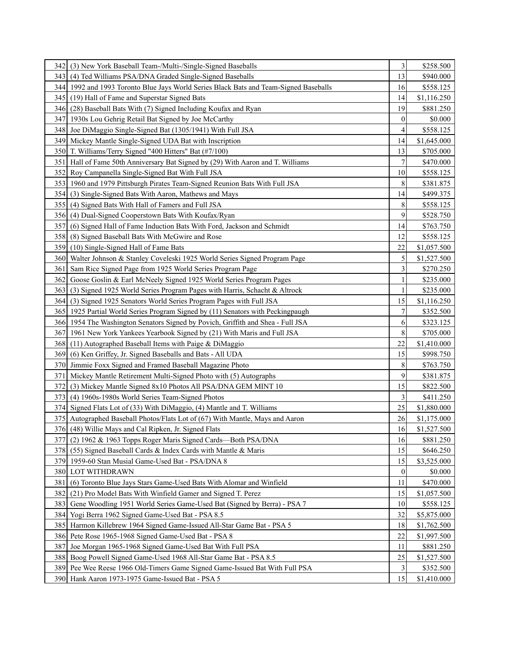| 342 I            | (3) New York Baseball Team-/Multi-/Single-Signed Baseballs                            | 3              | \$258.500   |
|------------------|---------------------------------------------------------------------------------------|----------------|-------------|
| 3431             | (4) Ted Williams PSA/DNA Graded Single-Signed Baseballs                               | 13             | \$940.000   |
|                  | 344 1992 and 1993 Toronto Blue Jays World Series Black Bats and Team-Signed Baseballs | 16             | \$558.125   |
|                  | 345 (19) Hall of Fame and Superstar Signed Bats                                       | 14             | \$1,116.250 |
| 3461             | (28) Baseball Bats With (7) Signed Including Koufax and Ryan                          | 19             | \$881.250   |
|                  | 347 1930s Lou Gehrig Retail Bat Signed by Joe McCarthy                                | $\overline{0}$ | \$0.000     |
|                  | 348 Joe DiMaggio Single-Signed Bat (1305/1941) With Full JSA                          | 4              | \$558.125   |
|                  | 349 Mickey Mantle Single-Signed UDA Bat with Inscription                              | 14             | \$1,645.000 |
|                  | 350 T. Williams/Terry Signed "400 Hitters" Bat (#7/100)                               | 13             | \$705.000   |
| 351              | Hall of Fame 50th Anniversary Bat Signed by (29) With Aaron and T. Williams           | $\overline{7}$ | \$470.000   |
|                  | 352 Roy Campanella Single-Signed Bat With Full JSA                                    | 10             | \$558.125   |
|                  | 353 1960 and 1979 Pittsburgh Pirates Team-Signed Reunion Bats With Full JSA           | 8              | \$381.875   |
|                  | 354 (3) Single-Signed Bats With Aaron, Mathews and Mays                               | 14             | \$499.375   |
| 355 I            | (4) Signed Bats With Hall of Famers and Full JSA                                      | 8              | \$558.125   |
|                  | 356 (4) Dual-Signed Cooperstown Bats With Koufax/Ryan                                 | 9              | \$528.750   |
| 357I             | (6) Signed Hall of Fame Induction Bats With Ford, Jackson and Schmidt                 | 14             | \$763.750   |
|                  | 358 (8) Signed Baseball Bats With McGwire and Rose                                    | 12             | \$558.125   |
| 3591             | (10) Single-Signed Hall of Fame Bats                                                  | 22             | \$1,057.500 |
|                  | 360 Walter Johnson & Stanley Coveleski 1925 World Series Signed Program Page          | 5              | \$1,527.500 |
| 361              | Sam Rice Signed Page from 1925 World Series Program Page                              | 3              | \$270.250   |
| 362 <sup>1</sup> | Goose Goslin & Earl McNeely Signed 1925 World Series Program Pages                    | 1              | \$235.000   |
| 363 <sub>1</sub> | (3) Signed 1925 World Series Program Pages with Harris, Schacht & Altrock             | 1              | \$235.000   |
|                  | 364 (3) Signed 1925 Senators World Series Program Pages with Full JSA                 | 15             | \$1,116.250 |
|                  | 365   1925 Partial World Series Program Signed by (11) Senators with Peckingpaugh     | 7              | \$352.500   |
|                  | 366 1954 The Washington Senators Signed by Povich, Griffith and Shea - Full JSA       | 6              | \$323.125   |
|                  | 367 1961 New York Yankees Yearbook Signed by (21) With Maris and Full JSA             | 8              | \$705.000   |
| 368 <sub>1</sub> | $(11)$ Autographed Baseball Items with Paige & DiMaggio                               | 22             | \$1,410.000 |
| 369I             | (6) Ken Griffey, Jr. Signed Baseballs and Bats - All UDA                              | 15             | \$998.750   |
|                  | 370 Jimmie Foxx Signed and Framed Baseball Magazine Photo                             | 8              | \$763.750   |
| 371 I            | Mickey Mantle Retirement Multi-Signed Photo with (5) Autographs                       | 9              | \$381.875   |
| 3721             | (3) Mickey Mantle Signed 8x10 Photos All PSA/DNA GEM MINT 10                          | 15             | \$822.500   |
| 3731             | (4) 1960s-1980s World Series Team-Signed Photos                                       | 3              | \$411.250   |
|                  | 374 Signed Flats Lot of (33) With DiMaggio, (4) Mantle and T. Williams                | 25             | \$1,880.000 |
|                  | 375 Autographed Baseball Photos/Flats Lot of (67) With Mantle, Mays and Aaron         | 26             | \$1,175.000 |
|                  | 376 (48) Willie Mays and Cal Ripken, Jr. Signed Flats                                 | 16             | \$1,527.500 |
|                  | 377 (2) 1962 & 1963 Topps Roger Maris Signed Cards—Both PSA/DNA                       | 16             | \$881.250   |
|                  | 378 (55) Signed Baseball Cards & Index Cards with Mantle & Maris                      | 15             | \$646.250   |
|                  | 379 1959-60 Stan Musial Game-Used Bat - PSA/DNA 8                                     | 15             | \$3,525.000 |
|                  | 380 LOT WITHDRAWN                                                                     | $\mathbf{0}$   | \$0.000     |
| 381              | (6) Toronto Blue Jays Stars Game-Used Bats With Alomar and Winfield                   | 11             | \$470.000   |
|                  | 382 (21) Pro Model Bats With Winfield Gamer and Signed T. Perez                       | 15             | \$1,057.500 |
|                  | 383 Gene Woodling 1951 World Series Game-Used Bat (Signed by Berra) - PSA 7           | 10             | \$558.125   |
|                  | 384 Yogi Berra 1962 Signed Game-Used Bat - PSA 8.5                                    | 32             | \$5,875.000 |
|                  | 385 Harmon Killebrew 1964 Signed Game-Issued All-Star Game Bat - PSA 5                | 18             | \$1,762.500 |
|                  | 386 Pete Rose 1965-1968 Signed Game-Used Bat - PSA 8                                  | 22             | \$1,997.500 |
| 3871             | Joe Morgan 1965-1968 Signed Game-Used Bat With Full PSA                               | 11             | \$881.250   |
|                  | 388 Boog Powell Signed Game-Used 1968 All-Star Game Bat - PSA 8.5                     | 25             | \$1,527.500 |
|                  | 389 Pee Wee Reese 1966 Old-Timers Game Signed Game-Issued Bat With Full PSA           | 3              | \$352.500   |
|                  | 390 Hank Aaron 1973-1975 Game-Issued Bat - PSA 5                                      | 15             | \$1,410.000 |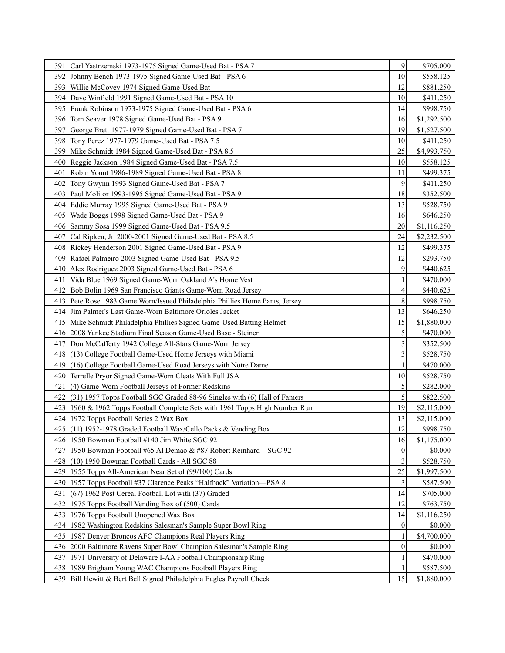| 391  | Carl Yastrzemski 1973-1975 Signed Game-Used Bat - PSA 7                        | 9              | \$705.000   |
|------|--------------------------------------------------------------------------------|----------------|-------------|
| 392I | Johnny Bench 1973-1975 Signed Game-Used Bat - PSA 6                            | 10             | \$558.125   |
|      | 393 Willie McCovey 1974 Signed Game-Used Bat                                   | 12             | \$881.250   |
|      | 394 Dave Winfield 1991 Signed Game-Used Bat - PSA 10                           | 10             | \$411.250   |
|      | 395 Frank Robinson 1973-1975 Signed Game-Used Bat - PSA 6                      | 14             | \$998.750   |
|      | 396 Tom Seaver 1978 Signed Game-Used Bat - PSA 9                               | 16             | \$1,292.500 |
| 397  | George Brett 1977-1979 Signed Game-Used Bat - PSA 7                            | 19             | \$1,527.500 |
|      | 398 Tony Perez 1977-1979 Game-Used Bat - PSA 7.5                               | 10             | \$411.250   |
|      | 399 Mike Schmidt 1984 Signed Game-Used Bat - PSA 8.5                           | 25             | \$4,993.750 |
|      | 400 Reggie Jackson 1984 Signed Game-Used Bat - PSA 7.5                         | 10             | \$558.125   |
| 401  | Robin Yount 1986-1989 Signed Game-Used Bat - PSA 8                             | 11             | \$499.375   |
|      | 402 Tony Gwynn 1993 Signed Game-Used Bat - PSA 7                               | 9              | \$411.250   |
|      | 403 Paul Molitor 1993-1995 Signed Game-Used Bat - PSA 9                        | 18             | \$352.500   |
|      | 404 Eddie Murray 1995 Signed Game-Used Bat - PSA 9                             | 13             | \$528.750   |
|      | 405   Wade Boggs 1998 Signed Game-Used Bat - PSA 9                             | 16             | \$646.250   |
|      | 406 Sammy Sosa 1999 Signed Game-Used Bat - PSA 9.5                             | 20             | \$1,116.250 |
| 407  | Cal Ripken, Jr. 2000-2001 Signed Game-Used Bat - PSA 8.5                       | 24             | \$2,232.500 |
|      | 408 Rickey Henderson 2001 Signed Game-Used Bat - PSA 9                         | 12             | \$499.375   |
|      | 409 Rafael Palmeiro 2003 Signed Game-Used Bat - PSA 9.5                        | 12             | \$293.750   |
|      | 410 Alex Rodriguez 2003 Signed Game-Used Bat - PSA 6                           | 9              | \$440.625   |
| 411  | Vida Blue 1969 Signed Game-Worn Oakland A's Home Vest                          |                | \$470.000   |
| 4121 | Bob Bolin 1969 San Francisco Giants Game-Worn Road Jersey                      | 4              | \$440.625   |
|      | 413 Pete Rose 1983 Game Worn/Issued Philadelphia Phillies Home Pants, Jersey   | 8              | \$998.750   |
|      | 414 Jim Palmer's Last Game-Worn Baltimore Orioles Jacket                       | 13             | \$646.250   |
|      | 415 Mike Schmidt Philadelphia Phillies Signed Game-Used Batting Helmet         | 15             | \$1,880.000 |
|      | 416 2008 Yankee Stadium Final Season Game-Used Base - Steiner                  | 5              | \$470.000   |
| 4171 | Don McCafferty 1942 College All-Stars Game-Worn Jersey                         | 3              | \$352.500   |
|      | 418 (13) College Football Game-Used Home Jerseys with Miami                    | 3              | \$528.750   |
| 4191 | (16) College Football Game-Used Road Jerseys with Notre Dame                   | 1              | \$470.000   |
|      | 420 Terrelle Pryor Signed Game-Worn Cleats With Full JSA                       | 10             | \$528.750   |
| 421  | (4) Game-Worn Football Jerseys of Former Redskins                              | 5              | \$282.000   |
| 422  | (31) 1957 Topps Football SGC Graded 88-96 Singles with (6) Hall of Famers      | 5              | \$822.500   |
|      | 423   1960 & 1962 Topps Football Complete Sets with 1961 Topps High Number Run | 19             | \$2,115.000 |
|      | 424 1972 Topps Football Series 2 Wax Box                                       | 13             | \$2,115.000 |
|      | 425 (11) 1952-1978 Graded Football Wax/Cello Packs & Vending Box               | 12             | \$998.750   |
|      | 426 1950 Bowman Football #140 Jim White SGC 92                                 | 16             | \$1,175.000 |
| 427  | 1950 Bowman Football #65 Al Demao & #87 Robert Reinhard—SGC 92                 | 0              | \$0.000     |
| 428  | (10) 1950 Bowman Football Cards - All SGC 88                                   | 3              | \$528.750   |
| 429  | 1955 Topps All-American Near Set of (99/100) Cards                             | 25             | \$1,997.500 |
|      | 430 1957 Topps Football #37 Clarence Peaks "Halfback" Variation—PSA 8          | 3              | \$587.500   |
| 431  | (67) 1962 Post Cereal Football Lot with (37) Graded                            | 14             | \$705.000   |
|      | 432 1975 Topps Football Vending Box of (500) Cards                             | 12             | \$763.750   |
| 433  | 1976 Topps Football Unopened Wax Box                                           | 14             | \$1,116.250 |
| 4341 | 1982 Washington Redskins Salesman's Sample Super Bowl Ring                     | $\mathbf{0}$   | \$0.000     |
| 435  | 1987 Denver Broncos AFC Champions Real Players Ring                            | 1              | \$4,700.000 |
|      | 436   2000 Baltimore Ravens Super Bowl Champion Salesman's Sample Ring         | $\overline{0}$ | \$0.000     |
| 437  | 1971 University of Delaware I-AA Football Championship Ring                    | 1              | \$470.000   |
|      | 438 1989 Brigham Young WAC Champions Football Players Ring                     |                | \$587.500   |
| 439  | Bill Hewitt & Bert Bell Signed Philadelphia Eagles Payroll Check               | 15             | \$1,880.000 |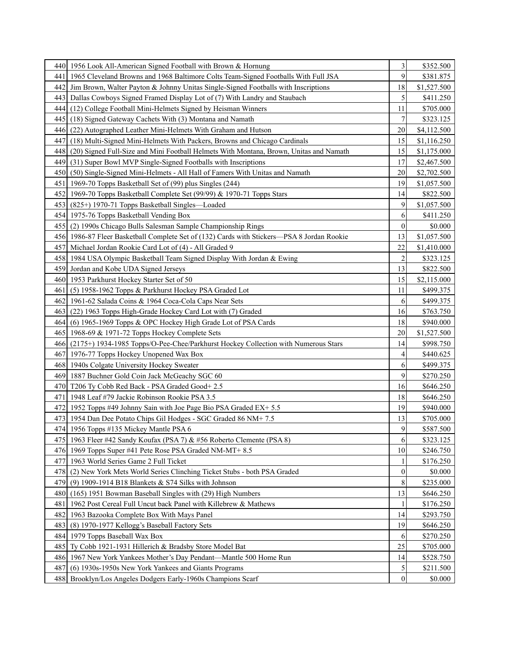|      | 440   1956 Look All-American Signed Football with Brown & Hornung                          | 3                | \$352.500   |
|------|--------------------------------------------------------------------------------------------|------------------|-------------|
| 441  | 1965 Cleveland Browns and 1968 Baltimore Colts Team-Signed Footballs With Full JSA         | 9                | \$381.875   |
| 4421 | Jim Brown, Walter Payton & Johnny Unitas Single-Signed Footballs with Inscriptions         | 18               | \$1,527.500 |
|      | 443   Dallas Cowboys Signed Framed Display Lot of (7) With Landry and Staubach             | 5                | \$411.250   |
| 444  | (12) College Football Mini-Helmets Signed by Heisman Winners                               | 11               | \$705.000   |
| 445  | (18) Signed Gateway Cachets With (3) Montana and Namath                                    | 7                | \$323.125   |
| 446  | (22) Autographed Leather Mini-Helmets With Graham and Hutson                               | 20               | \$4,112.500 |
| 447  | (18) Multi-Signed Mini-Helmets With Packers, Browns and Chicago Cardinals                  | 15               | \$1,116.250 |
| 448  | (20) Signed Full-Size and Mini Football Helmets With Montana, Brown, Unitas and Namath     | 15               | \$1,175.000 |
| 4491 | (31) Super Bowl MVP Single-Signed Footballs with Inscriptions                              | 17               | \$2,467.500 |
| 4501 | (50) Single-Signed Mini-Helmets - All Hall of Famers With Unitas and Namath                | 20               | \$2,702.500 |
| 451  | 1969-70 Topps Basketball Set of (99) plus Singles (244)                                    | 19               | \$1,057.500 |
|      | 452   1969-70 Topps Basketball Complete Set (99/99) & 1970-71 Topps Stars                  | 14               | \$822.500   |
| 4531 | (825+) 1970-71 Topps Basketball Singles—Loaded                                             | 9                | \$1,057.500 |
|      | 454 1975-76 Topps Basketball Vending Box                                                   | 6                | \$411.250   |
|      | 455 (2) 1990s Chicago Bulls Salesman Sample Championship Rings                             | $\overline{0}$   | \$0.000     |
|      | 456 1986-87 Fleer Basketball Complete Set of (132) Cards with Stickers—PSA 8 Jordan Rookie | 13               | \$1,057.500 |
| 457  | Michael Jordan Rookie Card Lot of (4) - All Graded 9                                       | 22               | \$1,410.000 |
|      | 458 1984 USA Olympic Basketball Team Signed Display With Jordan & Ewing                    | $\overline{c}$   | \$323.125   |
| 459  | Jordan and Kobe UDA Signed Jerseys                                                         | 13               | \$822.500   |
|      | 460 1953 Parkhurst Hockey Starter Set of 50                                                | 15               | \$2,115.000 |
| 461  | (5) 1958-1962 Topps & Parkhurst Hockey PSA Graded Lot                                      | 11               | \$499.375   |
|      | 462 1961-62 Salada Coins & 1964 Coca-Cola Caps Near Sets                                   | 6                | \$499.375   |
| 4631 | (22) 1963 Topps High-Grade Hockey Card Lot with (7) Graded                                 | 16               | \$763.750   |
| 4641 | (6) 1965-1969 Topps & OPC Hockey High Grade Lot of PSA Cards                               | 18               | \$940.000   |
|      | 465 1968-69 & 1971-72 Topps Hockey Complete Sets                                           | 20               | \$1,527.500 |
| 4661 | (2175+) 1934-1985 Topps/O-Pee-Chee/Parkhurst Hockey Collection with Numerous Stars         | 14               | \$998.750   |
|      | 467 1976-77 Topps Hockey Unopened Wax Box                                                  | 4                | \$440.625   |
|      | 468 1940s Colgate University Hockey Sweater                                                | 6                | \$499.375   |
|      | 469 1887 Buchner Gold Coin Jack McGeachy SGC 60                                            | 9                | \$270.250   |
|      | 470 T206 Ty Cobb Red Back - PSA Graded Good+ 2.5                                           | 16               | \$646.250   |
| 471  | 1948 Leaf #79 Jackie Robinson Rookie PSA 3.5                                               | 18               | \$646.250   |
|      | 472 1952 Topps #49 Johnny Sain with Joe Page Bio PSA Graded EX+ 5.5                        | 19               | \$940.000   |
|      | 473 1954 Dan Dee Potato Chips Gil Hodges - SGC Graded 86 NM+ 7.5                           | 13               | \$705.000   |
|      | 474 1956 Topps #135 Mickey Mantle PSA 6                                                    | 9                | \$587.500   |
|      | 475   1963 Fleer #42 Sandy Koufax (PSA 7) & #56 Roberto Clemente (PSA 8)                   | 6                | \$323.125   |
|      | 476 1969 Topps Super #41 Pete Rose PSA Graded NM-MT+ 8.5                                   | 10               | \$246.750   |
|      | 477 1963 World Series Game 2 Full Ticket                                                   |                  | \$176.250   |
| 478  | (2) New York Mets World Series Clinching Ticket Stubs - both PSA Graded                    | $\boldsymbol{0}$ | \$0.000     |
| 479  | (9) 1909-1914 B18 Blankets $&$ S74 Silks with Johnson                                      | 8                | \$235.000   |
|      | 480 (165) 1951 Bowman Baseball Singles with (29) High Numbers                              | 13               | \$646.250   |
| 481  | 1962 Post Cereal Full Uncut back Panel with Killebrew & Mathews                            |                  | \$176.250   |
| 482  | 1963 Bazooka Complete Box With Mays Panel                                                  | 14               | \$293.750   |
| 4831 | (8) 1970-1977 Kellogg's Baseball Factory Sets                                              | 19               | \$646.250   |
|      | 484 1979 Topps Baseball Wax Box                                                            | 6                | \$270.250   |
|      | 485 Ty Cobb 1921-1931 Hillerich & Bradsby Store Model Bat                                  | 25               | \$705.000   |
|      | 486 1967 New York Yankees Mother's Day Pendant-Mantle 500 Home Run                         | 14               | \$528.750   |
| 487  | (6) 1930s-1950s New York Yankees and Giants Programs                                       | 5                | \$211.500   |
| 488  | Brooklyn/Los Angeles Dodgers Early-1960s Champions Scarf                                   | $\boldsymbol{0}$ | \$0.000     |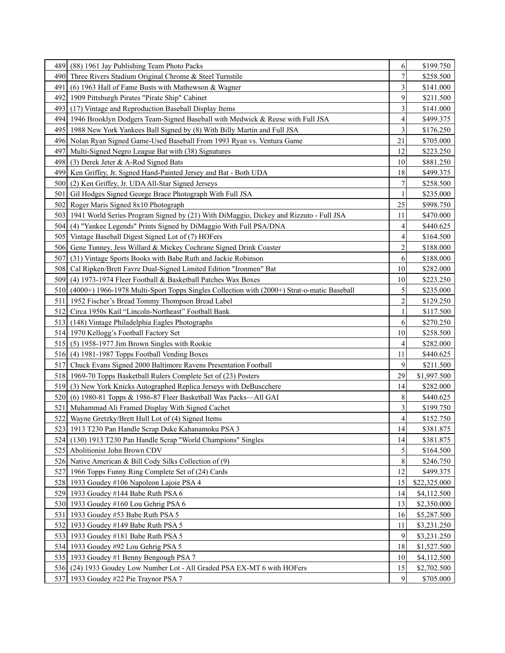| 489              | (88) 1961 Jay Publishing Team Photo Packs                                                      | 6                       | \$199.750    |
|------------------|------------------------------------------------------------------------------------------------|-------------------------|--------------|
|                  | 490 Three Rivers Stadium Original Chrome & Steel Turnstile                                     | 7                       | \$258.500    |
| 491              | (6) 1963 Hall of Fame Busts with Mathewson & Wagner                                            | 3                       | \$141.000    |
|                  | 492 1909 Pittsburgh Pirates "Pirate Ship" Cabinet                                              | 9                       | \$211.500    |
| 4931             | (17) Vintage and Reproduction Baseball Display Items                                           | 3                       | \$141.000    |
|                  | 494 1946 Brooklyn Dodgers Team-Signed Baseball with Medwick & Reese with Full JSA              | 4                       | \$499.375    |
|                  | 495 1988 New York Yankees Ball Signed by (8) With Billy Martin and Full JSA                    | 3                       | \$176.250    |
|                  | 496 Nolan Ryan Signed Game-Used Baseball From 1993 Ryan vs. Ventura Game                       | 21                      | \$705.000    |
|                  | 497 Multi-Signed Negro League Bat with (38) Signatures                                         | 12                      | \$223.250    |
|                  | 498 (3) Derek Jeter & A-Rod Signed Bats                                                        | 10                      | \$881.250    |
|                  | 499 Ken Griffey, Jr. Signed Hand-Painted Jersey and Bat - Both UDA                             | 18                      | \$499.375    |
|                  | 500 (2) Ken Griffey, Jr. UDA All-Star Signed Jerseys                                           | 7                       | \$258.500    |
| 501              | Gil Hodges Signed George Brace Photograph With Full JSA                                        | 1                       | \$235.000    |
|                  | 502 Roger Maris Signed 8x10 Photograph                                                         | 25                      | \$998.750    |
|                  | 503   1941 World Series Program Signed by (21) With DiMaggio, Dickey and Rizzuto - Full JSA    | 11                      | \$470.000    |
|                  | 504 (4) "Yankee Legends" Prints Signed by DiMaggio With Full PSA/DNA                           | 4                       | \$440.625    |
|                  | 505 Vintage Baseball Digest Signed Lot of (7) HOFers                                           | 4                       | \$164.500    |
|                  | 506 Gene Tunney, Jess Willard & Mickey Cochrane Signed Drink Coaster                           | $\overline{c}$          | \$188.000    |
| 507 <sub>1</sub> | (31) Vintage Sports Books with Babe Ruth and Jackie Robinson                                   | 6                       | \$188.000    |
| 508 <sub>1</sub> | Cal Ripken/Brett Favre Dual-Signed Limited Edition "Ironmen" Bat                               | 10                      | \$282.000    |
| 509              | (4) 1973-1974 Fleer Football & Basketball Patches Wax Boxes                                    | 10                      | \$223.250    |
|                  | 510 (4000+) 1966-1978 Multi-Sport Topps Singles Collection with (2000+) Strat-o-matic Baseball | 5                       | \$235.000    |
|                  | 511   1952 Fischer's Bread Tommy Thompson Bread Label                                          | $\overline{c}$          | \$129.250    |
|                  | 512 Circa 1950s Kail "Lincoln-Northeast" Football Bank                                         |                         | \$117.500    |
|                  | 513 (148) Vintage Philadelphia Eagles Photographs                                              | 6                       | \$270.250    |
|                  | 514 1970 Kellogg's Football Factory Set                                                        | 10                      | \$258.500    |
|                  | 515 (5) 1958-1977 Jim Brown Singles with Rookie                                                | 4                       | \$282.000    |
|                  | 516 (4) 1981-1987 Topps Football Vending Boxes                                                 | 11                      | \$440.625    |
| 517 <sub>1</sub> | Chuck Evans Signed 2000 Baltimore Ravens Presentation Football                                 | 9                       | \$211.500    |
|                  | 518 1969-70 Topps Basketball Rulers Complete Set of (23) Posters                               | 29                      | \$1,997.500  |
|                  | 519 (3) New York Knicks Autographed Replica Jerseys with DeBuscchere                           | 14                      | \$282.000    |
| 520 <sub>1</sub> | (6) 1980-81 Topps & 1986-87 Fleer Basketball Wax Packs-All GAI                                 | 8                       | \$440.625    |
| 521              | Muhammad Ali Framed Display With Signed Cachet                                                 | 3                       | \$199.750    |
|                  | 522 Wayne Gretzky/Brett Hull Lot of (4) Signed Items                                           | $\overline{\mathbf{4}}$ | \$152.750    |
|                  | 523   1913 T230 Pan Handle Scrap Duke Kahanamoku PSA 3                                         | 14                      | \$381.875    |
|                  | 524 (130) 1913 T230 Pan Handle Scrap "World Champions" Singles                                 | 14                      | \$381.875    |
|                  | 525 Abolitionist John Brown CDV                                                                | 5                       | \$164.500    |
|                  | 526 Native American & Bill Cody Silks Collection of (9)                                        | 8                       | \$246.750    |
|                  | 527 1966 Topps Funny Ring Complete Set of (24) Cards                                           | 12                      | \$499.375    |
|                  | 528 1933 Goudey #106 Napoleon Lajoie PSA 4                                                     | 15                      | \$22,325.000 |
|                  | 529 1933 Goudey #144 Babe Ruth PSA 6                                                           | 14                      | \$4,112.500  |
|                  | 530 1933 Goudey #160 Lou Gehrig PSA 6                                                          | 13                      | \$2,350.000  |
|                  | 531 1933 Goudey #53 Babe Ruth PSA 5                                                            | 16                      | \$5,287.500  |
|                  | 532 1933 Goudey #149 Babe Ruth PSA 5                                                           | 11                      | \$3,231.250  |
|                  | 533 1933 Goudey #181 Babe Ruth PSA 5                                                           | 9                       | \$3,231.250  |
|                  | 534 1933 Goudey #92 Lou Gehrig PSA 5                                                           | 18                      | \$1,527.500  |
|                  | 535 1933 Goudey #1 Benny Bengough PSA 7                                                        | 10                      | \$4,112.500  |
|                  | 536 (24) 1933 Goudey Low Number Lot - All Graded PSA EX-MT 6 with HOFers                       | 15                      | \$2,702.500  |
|                  | 537 1933 Goudey #22 Pie Traynor PSA 7                                                          | $\overline{9}$          | \$705.000    |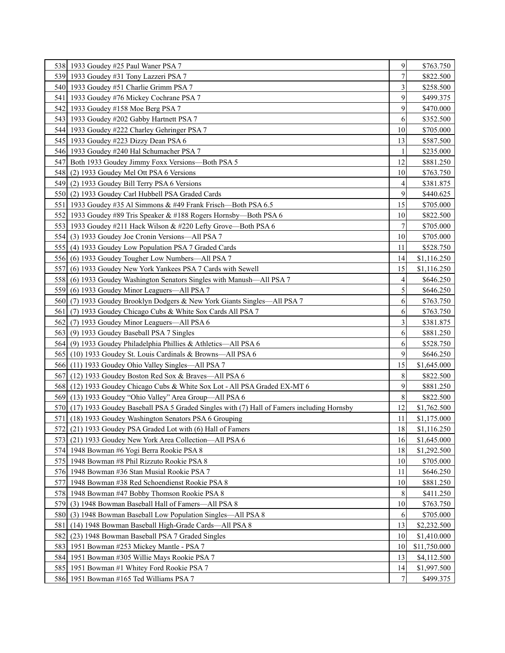|                  | 538 1933 Goudey #25 Paul Waner PSA 7                                                         | 9              | \$763.750    |
|------------------|----------------------------------------------------------------------------------------------|----------------|--------------|
|                  | 539 1933 Goudey #31 Tony Lazzeri PSA 7                                                       | 7              | \$822.500    |
|                  | 540 1933 Goudey #51 Charlie Grimm PSA 7                                                      | 3              | \$258.500    |
|                  | 541   1933 Goudey #76 Mickey Cochrane PSA 7                                                  | 9              | \$499.375    |
|                  | 542 1933 Goudey #158 Moe Berg PSA 7                                                          | 9              | \$470.000    |
|                  | 543 1933 Goudey #202 Gabby Hartnett PSA 7                                                    | 6              | \$352.500    |
|                  | 544 1933 Goudey #222 Charley Gehringer PSA 7                                                 | 10             | \$705.000    |
|                  | 545   1933 Goudey #223 Dizzy Dean PSA 6                                                      | 13             | \$587.500    |
|                  | 546 1933 Goudey #240 Hal Schumacher PSA 7                                                    |                | \$235.000    |
|                  | 547 Both 1933 Goudey Jimmy Foxx Versions—Both PSA 5                                          | 12             | \$881.250    |
|                  | 548 (2) 1933 Goudey Mel Ott PSA 6 Versions                                                   | 10             | \$763.750    |
|                  | 549 (2) 1933 Goudey Bill Terry PSA 6 Versions                                                | 4              | \$381.875    |
|                  | 550 (2) 1933 Goudey Carl Hubbell PSA Graded Cards                                            | 9              | \$440.625    |
|                  | 551   1933 Goudey #35 Al Simmons & #49 Frank Frisch—Both PSA 6.5                             | 15             | \$705.000    |
|                  | 552 1933 Goudey #89 Tris Speaker & #188 Rogers Hornsby—Both PSA 6                            | 10             | \$822.500    |
|                  | 553 1933 Goudey #211 Hack Wilson & #220 Lefty Grove—Both PSA 6                               | 7              | \$705.000    |
|                  | 554 (3) 1933 Goudey Joe Cronin Versions—All PSA 7                                            | 10             | \$705.000    |
|                  | 555 (4) 1933 Goudey Low Population PSA 7 Graded Cards                                        | 11             | \$528.750    |
|                  | 556 (6) 1933 Goudey Tougher Low Numbers—All PSA 7                                            | 14             | \$1,116.250  |
| 5571             | (6) 1933 Goudey New York Yankees PSA 7 Cards with Sewell                                     | 15             | \$1,116.250  |
| 558              | (6) 1933 Goudey Washington Senators Singles with Manush—All PSA 7                            | 4              | \$646.250    |
| 559              | (6) 1933 Goudey Minor Leaguers—All PSA 7                                                     | 5              | \$646.250    |
|                  | 560 (7) 1933 Goudey Brooklyn Dodgers & New York Giants Singles—All PSA 7                     | 6              | \$763.750    |
| 561 <sub>1</sub> | (7) 1933 Goudey Chicago Cubs & White Sox Cards All PSA 7                                     | 6              | \$763.750    |
|                  | 562 (7) 1933 Goudey Minor Leaguers—All PSA 6                                                 | 3              | \$381.875    |
|                  | 563 (9) 1933 Goudey Baseball PSA 7 Singles                                                   | 6              | \$881.250    |
|                  | 564 (9) 1933 Goudey Philadelphia Phillies & Athletics—All PSA 6                              | 6              | \$528.750    |
|                  | 565 (10) 1933 Goudey St. Louis Cardinals & Browns—All PSA 6                                  | 9              | \$646.250    |
|                  | 566 (11) 1933 Goudey Ohio Valley Singles—All PSA 7                                           | 15             | \$1,645.000  |
|                  | 567 (12) 1933 Goudey Boston Red Sox & Braves—All PSA 6                                       | 8              | \$822.500    |
|                  | 568 (12) 1933 Goudey Chicago Cubs & White Sox Lot - All PSA Graded EX-MT 6                   | 9              | \$881.250    |
|                  | 569 (13) 1933 Goudey "Ohio Valley" Area Group—All PSA 6                                      | 8              | \$822.500    |
|                  | 570 (17) 1933 Goudey Baseball PSA 5 Graded Singles with (7) Hall of Famers including Hornsby | 12             | \$1,762.500  |
| 5711             | (18) 1933 Goudey Washington Senators PSA 6 Grouping                                          | 11             | \$1,175.000  |
|                  | 572 (21) 1933 Goudey PSA Graded Lot with (6) Hall of Famers                                  | $18\,$         | \$1,116.250  |
|                  | 573 (21) 1933 Goudey New York Area Collection—All PSA 6                                      | 16             | \$1,645.000  |
|                  | 574 1948 Bowman #6 Yogi Berra Rookie PSA 8                                                   | 18             | \$1,292.500  |
|                  | 575 1948 Bowman #8 Phil Rizzuto Rookie PSA 8                                                 | 10             | \$705.000    |
|                  | 576 1948 Bowman #36 Stan Musial Rookie PSA 7                                                 | 11             | \$646.250    |
|                  | 577 1948 Bowman #38 Red Schoendienst Rookie PSA 8                                            | 10             | \$881.250    |
|                  | 578 1948 Bowman #47 Bobby Thomson Rookie PSA 8                                               | 8              | \$411.250    |
|                  | 579 (3) 1948 Bowman Baseball Hall of Famers—All PSA 8                                        | 10             | \$763.750    |
| 580              | (3) 1948 Bowman Baseball Low Population Singles—All PSA 8                                    | 6              | \$705.000    |
| 581              | (14) 1948 Bowman Baseball High-Grade Cards-All PSA 8                                         | 13             | \$2,232.500  |
| 582              | (23) 1948 Bowman Baseball PSA 7 Graded Singles                                               | 10             | \$1,410.000  |
|                  | 583 1951 Bowman #253 Mickey Mantle - PSA 7                                                   | 10             | \$11,750.000 |
|                  | 584 1951 Bowman #305 Willie Mays Rookie PSA 7                                                | 13             | \$4,112.500  |
|                  | 585 1951 Bowman #1 Whitey Ford Rookie PSA 7                                                  | 14             | \$1,997.500  |
|                  | 586 1951 Bowman #165 Ted Williams PSA 7                                                      | 7 <sup>1</sup> | \$499.375    |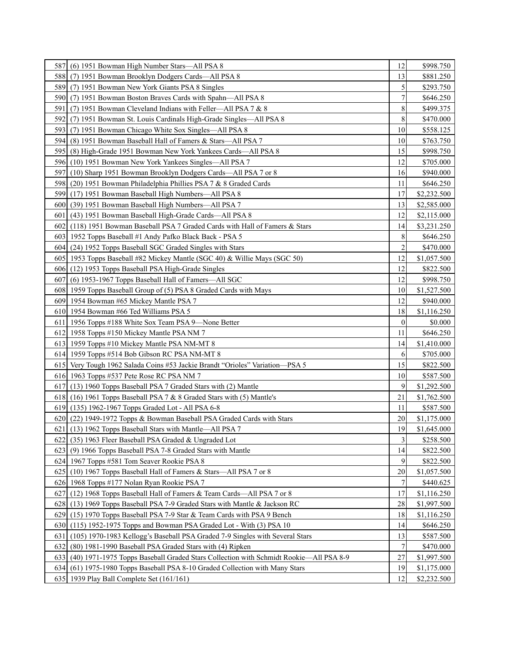| 587              | (6) 1951 Bowman High Number Stars-All PSA 8                                               | 12               | \$998.750   |
|------------------|-------------------------------------------------------------------------------------------|------------------|-------------|
| 588I             | (7) 1951 Bowman Brooklyn Dodgers Cards—All PSA 8                                          | 13               | \$881.250   |
| 589              | (7) 1951 Bowman New York Giants PSA 8 Singles                                             | 5                | \$293.750   |
|                  | 590 (7) 1951 Bowman Boston Braves Cards with Spahn—All PSA 8                              | 7                | \$646.250   |
| 591              | (7) 1951 Bowman Cleveland Indians with Feller—All PSA 7 & 8                               | 8                | \$499.375   |
| 592 I            | (7) 1951 Bowman St. Louis Cardinals High-Grade Singles-All PSA 8                          | 8                | \$470.000   |
| 5931             | (7) 1951 Bowman Chicago White Sox Singles—All PSA 8                                       | 10               | \$558.125   |
| 594I             | (8) 1951 Bowman Baseball Hall of Famers & Stars—All PSA 7                                 | 10               | \$763.750   |
|                  | 595 (8) High-Grade 1951 Bowman New York Yankees Cards—All PSA 8                           | 15               | \$998.750   |
|                  | 596 (10) 1951 Bowman New York Yankees Singles—All PSA 7                                   | 12               | \$705.000   |
| 597I             | (10) Sharp 1951 Bowman Brooklyn Dodgers Cards—All PSA 7 or 8                              | 16               | \$940.000   |
| 5981             | (20) 1951 Bowman Philadelphia Phillies PSA 7 & 8 Graded Cards                             | 11               | \$646.250   |
| 5991             | (17) 1951 Bowman Baseball High Numbers—All PSA 8                                          | 17               | \$2,232.500 |
| 600 <sub>1</sub> | (39) 1951 Bowman Baseball High Numbers—All PSA 7                                          | 13               | \$2,585.000 |
| 601              | (43) 1951 Bowman Baseball High-Grade Cards-All PSA 8                                      | 12               | \$2,115.000 |
|                  | 602 (118) 1951 Bowman Baseball PSA 7 Graded Cards with Hall of Famers & Stars             | 14               | \$3,231.250 |
|                  | 603   1952 Topps Baseball #1 Andy Pafko Black Back - PSA 5                                | 8                | \$646.250   |
|                  | 604 (24) 1952 Topps Baseball SGC Graded Singles with Stars                                | $\overline{c}$   | \$470.000   |
|                  | 605 1953 Topps Baseball #82 Mickey Mantle (SGC 40) & Willie Mays (SGC 50)                 | 12               | \$1,057.500 |
|                  | 606 (12) 1953 Topps Baseball PSA High-Grade Singles                                       | 12               | \$822.500   |
| 6071             | (6) 1953-1967 Topps Baseball Hall of Famers-All SGC                                       | 12               | \$998.750   |
|                  | 608 1959 Topps Baseball Group of (5) PSA 8 Graded Cards with Mays                         | 10               | \$1,527.500 |
|                  | 609 1954 Bowman #65 Mickey Mantle PSA 7                                                   | 12               | \$940.000   |
|                  | 610 1954 Bowman #66 Ted Williams PSA 5                                                    | 18               | \$1,116.250 |
|                  | 611 1956 Topps #188 White Sox Team PSA 9—None Better                                      | $\boldsymbol{0}$ | \$0.000     |
|                  | 612 1958 Topps #150 Mickey Mantle PSA NM 7                                                | 11               | \$646.250   |
|                  | 613 1959 Topps #10 Mickey Mantle PSA NM-MT 8                                              | 14               | \$1,410.000 |
|                  | 614 1959 Topps #514 Bob Gibson RC PSA NM-MT 8                                             | 6                | \$705.000   |
|                  | 615 Very Tough 1962 Salada Coins #53 Jackie Brandt "Orioles" Variation-PSA 5              | 15               | \$822.500   |
|                  | 616 1963 Topps #537 Pete Rose RC PSA NM 7                                                 | 10               | \$587.500   |
|                  | 617 (13) 1960 Topps Baseball PSA 7 Graded Stars with (2) Mantle                           | 9                | \$1,292.500 |
|                  | 618 (16) 1961 Topps Baseball PSA 7 & 8 Graded Stars with (5) Mantle's                     | 21               | \$1,762.500 |
|                  | 619 (135) 1962-1967 Topps Graded Lot - All PSA 6-8                                        | 11               | \$587.500   |
|                  | 620 (22) 1949-1972 Topps & Bowman Baseball PSA Graded Cards with Stars                    | 20               | \$1,175.000 |
|                  | 621 (13) 1962 Topps Baseball Stars with Mantle—All PSA 7                                  | 19               | \$1,645.000 |
|                  | 622 (35) 1963 Fleer Baseball PSA Graded & Ungraded Lot                                    | 3                | \$258.500   |
|                  | 623 (9) 1966 Topps Baseball PSA 7-8 Graded Stars with Mantle                              | 14               | \$822.500   |
|                  | 624 1967 Topps #581 Tom Seaver Rookie PSA 8                                               | 9                | \$822.500   |
| 6251             | (10) 1967 Topps Baseball Hall of Famers & Stars—All PSA 7 or 8                            | 20               | \$1,057.500 |
|                  | 626 1968 Topps #177 Nolan Ryan Rookie PSA 7                                               | $\boldsymbol{7}$ | \$440.625   |
|                  | 627 (12) 1968 Topps Baseball Hall of Famers & Team Cards—All PSA 7 or 8                   | 17               | \$1,116.250 |
|                  | 628 (13) 1969 Topps Baseball PSA 7-9 Graded Stars with Mantle & Jackson RC                | 28               | \$1,997.500 |
|                  | 629 (15) 1970 Topps Baseball PSA 7-9 Star & Team Cards with PSA 9 Bench                   | 18               | \$1,116.250 |
| 630 <sub>l</sub> | $(115)$ 1952-1975 Topps and Bowman PSA Graded Lot - With $(3)$ PSA 10                     | 14               | \$646.250   |
| 631              | (105) 1970-1983 Kellogg's Baseball PSA Graded 7-9 Singles with Several Stars              | 13               | \$587.500   |
| 6321             | (80) 1981-1990 Baseball PSA Graded Stars with (4) Ripken                                  | 7                | \$470.000   |
|                  | 633 (40) 1971-1975 Topps Baseball Graded Stars Collection with Schmidt Rookie—All PSA 8-9 | 27               | \$1,997.500 |
| 634 <sub>l</sub> | (61) 1975-1980 Topps Baseball PSA 8-10 Graded Collection with Many Stars                  | 19               | \$1,175.000 |
|                  | 635 1939 Play Ball Complete Set (161/161)                                                 | 12               | \$2,232.500 |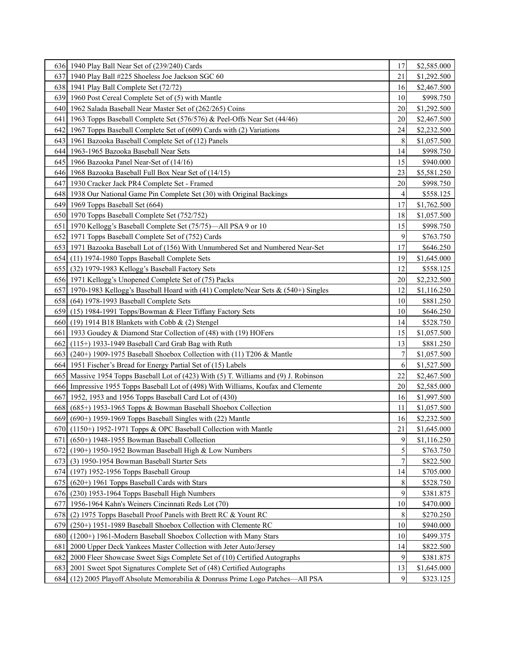|                  | 636 1940 Play Ball Near Set of (239/240) Cards                                        | 17 | \$2,585.000 |
|------------------|---------------------------------------------------------------------------------------|----|-------------|
|                  | 637 1940 Play Ball #225 Shoeless Joe Jackson SGC 60                                   | 21 | \$1,292.500 |
|                  | 638 1941 Play Ball Complete Set (72/72)                                               | 16 | \$2,467.500 |
|                  | 639 1960 Post Cereal Complete Set of (5) with Mantle                                  | 10 | \$998.750   |
|                  | 640 1962 Salada Baseball Near Master Set of (262/265) Coins                           | 20 | \$1,292.500 |
| 641              | 1963 Topps Baseball Complete Set (576/576) & Peel-Offs Near Set (44/46)               | 20 | \$2,467.500 |
| 642              | 1967 Topps Baseball Complete Set of (609) Cards with (2) Variations                   | 24 | \$2,232.500 |
| 6431             | 1961 Bazooka Baseball Complete Set of (12) Panels                                     | 8  | \$1,057.500 |
| 644 I            | 1963-1965 Bazooka Baseball Near Sets                                                  | 14 | \$998.750   |
|                  | 645 1966 Bazooka Panel Near-Set of (14/16)                                            | 15 | \$940.000   |
|                  | 646 1968 Bazooka Baseball Full Box Near Set of (14/15)                                | 23 | \$5,581.250 |
|                  | 647   1930 Cracker Jack PR4 Complete Set - Framed                                     | 20 | \$998.750   |
|                  | 648 1938 Our National Game Pin Complete Set (30) with Original Backings               | 4  | \$558.125   |
|                  | 649 1969 Topps Baseball Set (664)                                                     | 17 | \$1,762.500 |
|                  | 650 1970 Topps Baseball Complete Set (752/752)                                        | 18 | \$1,057.500 |
|                  | 651 1970 Kellogg's Baseball Complete Set (75/75)—All PSA 9 or 10                      | 15 | \$998.750   |
|                  | 652 1971 Topps Baseball Complete Set of (752) Cards                                   | 9  | \$763.750   |
|                  | 653 1971 Bazooka Baseball Lot of (156) With Unnumbered Set and Numbered Near-Set      | 17 | \$646.250   |
|                  | 654 (11) 1974-1980 Topps Baseball Complete Sets                                       | 19 | \$1,645.000 |
|                  | 655 (32) 1979-1983 Kellogg's Baseball Factory Sets                                    | 12 | \$558.125   |
|                  | 656 1971 Kellogg's Unopened Complete Set of (75) Packs                                | 20 | \$2,232.500 |
|                  | 657 1970-1983 Kellogg's Baseball Hoard with (41) Complete/Near Sets & (540+) Singles  | 12 | \$1,116.250 |
|                  | 658 (64) 1978-1993 Baseball Complete Sets                                             | 10 | \$881.250   |
|                  | 659 (15) 1984-1991 Topps/Bowman & Fleer Tiffany Factory Sets                          | 10 | \$646.250   |
|                  | 660 (19) 1914 B18 Blankets with Cobb & (2) Stengel                                    | 14 | \$528.750   |
| 661              | 1933 Goudey & Diamond Star Collection of (48) with (19) HOFers                        | 15 | \$1,057.500 |
| 662              | (115+) 1933-1949 Baseball Card Grab Bag with Ruth                                     | 13 | \$881.250   |
| 663              | $(240+)$ 1909-1975 Baseball Shoebox Collection with (11) T206 & Mantle                | 7  | \$1,057.500 |
|                  | 664 1951 Fischer's Bread for Energy Partial Set of (15) Labels                        | 6  | \$1,527.500 |
|                  | 665 Massive 1954 Topps Baseball Lot of (423) With (5) T. Williams and (9) J. Robinson | 22 | \$2,467.500 |
|                  | 666 Impressive 1955 Topps Baseball Lot of (498) With Williams, Koufax and Clemente    | 20 | \$2,585.000 |
| 667              | 1952, 1953 and 1956 Topps Baseball Card Lot of (430)                                  | 16 | \$1,997.500 |
|                  | 668 (685+) 1953-1965 Topps & Bowman Baseball Shoebox Collection                       | 11 | \$1,057.500 |
| 669              | (690+) 1959-1969 Topps Baseball Singles with (22) Mantle                              | 16 | \$2,232.500 |
|                  | 670 (1150+) 1952-1971 Topps & OPC Baseball Collection with Mantle                     | 21 | \$1,645.000 |
| 6711             | $(650+)$ 1948-1955 Bowman Baseball Collection                                         | 9  | \$1,116.250 |
| 672              | (190+) 1950-1952 Bowman Baseball High & Low Numbers                                   | 5  | \$763.750   |
| 673              | (3) 1950-1954 Bowman Baseball Starter Sets                                            | 7  | \$822.500   |
|                  | 674 (197) 1952-1956 Topps Baseball Group                                              | 14 | \$705.000   |
| 675              | $(620+)$ 1961 Topps Baseball Cards with Stars                                         | 8  | \$528.750   |
| 676 <sup>1</sup> | (230) 1953-1964 Topps Baseball High Numbers                                           | 9  | \$381.875   |
| 677              | 1956-1964 Kahn's Weiners Cincinnati Reds Lot (70)                                     | 10 | \$470.000   |
| 678              | (2) 1975 Topps Baseball Proof Panels with Brett RC & Yount RC                         | 8  | \$270.250   |
| 679              | (250+) 1951-1989 Baseball Shoebox Collection with Clemente RC                         | 10 | \$940.000   |
| 680              | (1200+) 1961-Modern Baseball Shoebox Collection with Many Stars                       | 10 | \$499.375   |
| 681              | 2000 Upper Deck Yankees Master Collection with Jeter Auto/Jersey                      | 14 | \$822.500   |
| 682              | 2000 Fleer Showcase Sweet Sigs Complete Set of (10) Certified Autographs              | 9  | \$381.875   |
|                  | 683   2001 Sweet Spot Signatures Complete Set of (48) Certified Autographs            | 13 | \$1,645.000 |
|                  | 684 (12) 2005 Playoff Absolute Memorabilia & Donruss Prime Logo Patches—All PSA       | 9  | \$323.125   |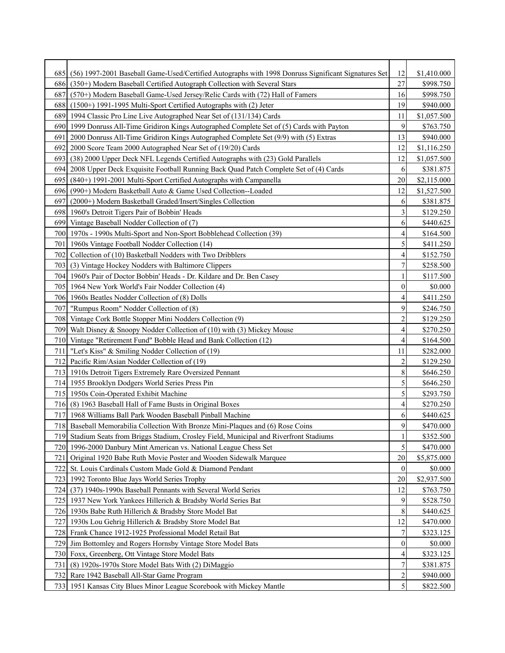| 27<br>(350+) Modern Baseball Certified Autograph Collection with Several Stars<br>\$998.750<br>686 <sub>1</sub><br>16<br>687<br>(570+) Modern Baseball Game-Used Jersey/Relic Cards with (72) Hall of Famers<br>\$998.750<br>19<br>688<br>$(1500+)$ 1991-1995 Multi-Sport Certified Autographs with $(2)$ Jeter<br>\$940.000<br>689<br>1994 Classic Pro Line Live Autographed Near Set of (131/134) Cards<br>11<br>\$1,057.500<br>9<br>1999 Donruss All-Time Gridiron Kings Autographed Complete Set of (5) Cards with Payton<br>690l<br>\$763.750<br>13<br>2000 Donruss All-Time Gridiron Kings Autographed Complete Set (9/9) with (5) Extras<br>\$940.000<br>691<br>12<br>2000 Score Team 2000 Autographed Near Set of (19/20) Cards<br>692<br>\$1,116.250<br>(38) 2000 Upper Deck NFL Legends Certified Autographs with (23) Gold Parallels<br>12<br>693<br>\$1,057.500<br>2008 Upper Deck Exquisite Football Running Back Quad Patch Complete Set of (4) Cards<br>6<br>\$381.875<br>694 I<br>20<br>695<br>(840+) 1991-2001 Multi-Sport Certified Autographs with Campanella<br>\$2,115.000<br>12<br>(990+) Modern Basketball Auto & Game Used Collection--Loaded<br>\$1,527.500<br>696 <sub>l</sub><br>(2000+) Modern Basketball Graded/Insert/Singles Collection<br>6<br>697<br>\$381.875<br>3<br>698 1960's Detroit Tigers Pair of Bobbin' Heads<br>\$129.250<br>6<br>699 Vintage Baseball Nodder Collection of (7)<br>\$440.625<br>700   1970s - 1990s Multi-Sport and Non-Sport Bobblehead Collection (39)<br>4<br>\$164.500<br>5<br>701   1960s Vintage Football Nodder Collection (14)<br>\$411.250<br>Collection of (10) Basketball Nodders with Two Dribblers<br>4<br>702 <sup> </sup><br>\$152.750<br>$\overline{7}$<br>703 (3) Vintage Hockey Nodders with Baltimore Clippers<br>\$258.500<br>704   1960's Pair of Doctor Bobbin' Heads - Dr. Kildare and Dr. Ben Casey<br>\$117.500<br>1<br>$\overline{0}$<br>705 1964 New York World's Fair Nodder Collection (4)<br>\$0.000<br>706 1960s Beatles Nodder Collection of (8) Dolls<br>4<br>\$411.250<br>9<br>707<br>"Rumpus Room" Nodder Collection of (8)<br>\$246.750<br>$\overline{c}$<br>708 Vintage Cork Bottle Stopper Mini Nodders Collection (9)<br>\$129.250<br>$\overline{4}$<br>709 Walt Disney & Snoopy Nodder Collection of (10) with (3) Mickey Mouse<br>\$270.250<br>$\overline{4}$<br>710 Vintage "Retirement Fund" Bobble Head and Bank Collection (12)<br>\$164.500<br>\$282.000<br>"Let's Kiss" & Smiling Nodder Collection of (19)<br>11<br>711<br>$\overline{c}$<br>712 Pacific Rim/Asian Nodder Collection of (19)<br>\$129.250<br>8<br>713 1910s Detroit Tigers Extremely Rare Oversized Pennant<br>\$646.250<br>5<br>714 1955 Brooklyn Dodgers World Series Press Pin<br>\$646.250<br>5<br>715 1950s Coin-Operated Exhibit Machine<br>\$293.750<br>716 (8) 1963 Baseball Hall of Fame Busts in Original Boxes<br>4<br>\$270.250<br>717 1968 Williams Ball Park Wooden Baseball Pinball Machine<br>6<br>\$440.625<br>9<br>718 Baseball Memorabilia Collection With Bronze Mini-Plagues and (6) Rose Coins<br>\$470.000<br>Stadium Seats from Briggs Stadium, Crosley Field, Municipal and Riverfront Stadiums<br>1<br>\$352.500<br>7191<br>5<br>1996-2000 Danbury Mint American vs. National League Chess Set<br>\$470.000<br>720I<br>20<br>Original 1920 Babe Ruth Movie Poster and Wooden Sidewalk Marquee<br>\$5,875.000<br>721<br>$\boldsymbol{0}$<br>St. Louis Cardinals Custom Made Gold & Diamond Pendant<br>\$0.000<br>722<br>$20\,$<br>723 1992 Toronto Blue Jays World Series Trophy<br>\$2,937.500<br>12<br>(37) 1940s-1990s Baseball Pennants with Several World Series<br>724 I<br>\$763.750<br>9<br>725   1937 New York Yankees Hillerich & Bradsby World Series Bat<br>\$528.750<br>8<br>726 1930s Babe Ruth Hillerich & Bradsby Store Model Bat<br>\$440.625<br>12<br>1930s Lou Gehrig Hillerich & Bradsby Store Model Bat<br>\$470.000<br>727I<br>7<br>728 Frank Chance 1912-1925 Professional Model Retail Bat<br>\$323.125<br>$\boldsymbol{0}$<br>729 Jim Bottomley and Rogers Hornsby Vintage Store Model Bats<br>\$0.000<br>4<br>730 Foxx, Greenberg, Ott Vintage Store Model Bats<br>\$323.125<br>7<br>(8) 1920s-1970s Store Model Bats With (2) DiMaggio<br>\$381.875<br>731<br>$\overline{\mathbf{c}}$<br>Rare 1942 Baseball All-Star Game Program<br>732 I<br>\$940.000<br>$\mathfrak{S}$<br>733 1951 Kansas City Blues Minor League Scorebook with Mickey Mantle<br>\$822.500 | 6851 | (56) 1997-2001 Baseball Game-Used/Certified Autographs with 1998 Donruss Significant Signatures Set | 12 | \$1,410.000 |
|-----------------------------------------------------------------------------------------------------------------------------------------------------------------------------------------------------------------------------------------------------------------------------------------------------------------------------------------------------------------------------------------------------------------------------------------------------------------------------------------------------------------------------------------------------------------------------------------------------------------------------------------------------------------------------------------------------------------------------------------------------------------------------------------------------------------------------------------------------------------------------------------------------------------------------------------------------------------------------------------------------------------------------------------------------------------------------------------------------------------------------------------------------------------------------------------------------------------------------------------------------------------------------------------------------------------------------------------------------------------------------------------------------------------------------------------------------------------------------------------------------------------------------------------------------------------------------------------------------------------------------------------------------------------------------------------------------------------------------------------------------------------------------------------------------------------------------------------------------------------------------------------------------------------------------------------------------------------------------------------------------------------------------------------------------------------------------------------------------------------------------------------------------------------------------------------------------------------------------------------------------------------------------------------------------------------------------------------------------------------------------------------------------------------------------------------------------------------------------------------------------------------------------------------------------------------------------------------------------------------------------------------------------------------------------------------------------------------------------------------------------------------------------------------------------------------------------------------------------------------------------------------------------------------------------------------------------------------------------------------------------------------------------------------------------------------------------------------------------------------------------------------------------------------------------------------------------------------------------------------------------------------------------------------------------------------------------------------------------------------------------------------------------------------------------------------------------------------------------------------------------------------------------------------------------------------------------------------------------------------------------------------------------------------------------------------------------------------------------------------------------------------------------------------------------------------------------------------------------------------------------------------------------------------------------------------------------------------------------------------------------------------------------------------------------------------------------------------------------------------------------------------------------------------------------------------------------------------------------------------------------------------------------------------------------------------------------------------------------------------------------------------------------------------------------------------------------------------------------------------------|------|-----------------------------------------------------------------------------------------------------|----|-------------|
|                                                                                                                                                                                                                                                                                                                                                                                                                                                                                                                                                                                                                                                                                                                                                                                                                                                                                                                                                                                                                                                                                                                                                                                                                                                                                                                                                                                                                                                                                                                                                                                                                                                                                                                                                                                                                                                                                                                                                                                                                                                                                                                                                                                                                                                                                                                                                                                                                                                                                                                                                                                                                                                                                                                                                                                                                                                                                                                                                                                                                                                                                                                                                                                                                                                                                                                                                                                                                                                                                                                                                                                                                                                                                                                                                                                                                                                                                                                                                                                                                                                                                                                                                                                                                                                                                                                                                                                                                                                                                               |      |                                                                                                     |    |             |
|                                                                                                                                                                                                                                                                                                                                                                                                                                                                                                                                                                                                                                                                                                                                                                                                                                                                                                                                                                                                                                                                                                                                                                                                                                                                                                                                                                                                                                                                                                                                                                                                                                                                                                                                                                                                                                                                                                                                                                                                                                                                                                                                                                                                                                                                                                                                                                                                                                                                                                                                                                                                                                                                                                                                                                                                                                                                                                                                                                                                                                                                                                                                                                                                                                                                                                                                                                                                                                                                                                                                                                                                                                                                                                                                                                                                                                                                                                                                                                                                                                                                                                                                                                                                                                                                                                                                                                                                                                                                                               |      |                                                                                                     |    |             |
|                                                                                                                                                                                                                                                                                                                                                                                                                                                                                                                                                                                                                                                                                                                                                                                                                                                                                                                                                                                                                                                                                                                                                                                                                                                                                                                                                                                                                                                                                                                                                                                                                                                                                                                                                                                                                                                                                                                                                                                                                                                                                                                                                                                                                                                                                                                                                                                                                                                                                                                                                                                                                                                                                                                                                                                                                                                                                                                                                                                                                                                                                                                                                                                                                                                                                                                                                                                                                                                                                                                                                                                                                                                                                                                                                                                                                                                                                                                                                                                                                                                                                                                                                                                                                                                                                                                                                                                                                                                                                               |      |                                                                                                     |    |             |
|                                                                                                                                                                                                                                                                                                                                                                                                                                                                                                                                                                                                                                                                                                                                                                                                                                                                                                                                                                                                                                                                                                                                                                                                                                                                                                                                                                                                                                                                                                                                                                                                                                                                                                                                                                                                                                                                                                                                                                                                                                                                                                                                                                                                                                                                                                                                                                                                                                                                                                                                                                                                                                                                                                                                                                                                                                                                                                                                                                                                                                                                                                                                                                                                                                                                                                                                                                                                                                                                                                                                                                                                                                                                                                                                                                                                                                                                                                                                                                                                                                                                                                                                                                                                                                                                                                                                                                                                                                                                                               |      |                                                                                                     |    |             |
|                                                                                                                                                                                                                                                                                                                                                                                                                                                                                                                                                                                                                                                                                                                                                                                                                                                                                                                                                                                                                                                                                                                                                                                                                                                                                                                                                                                                                                                                                                                                                                                                                                                                                                                                                                                                                                                                                                                                                                                                                                                                                                                                                                                                                                                                                                                                                                                                                                                                                                                                                                                                                                                                                                                                                                                                                                                                                                                                                                                                                                                                                                                                                                                                                                                                                                                                                                                                                                                                                                                                                                                                                                                                                                                                                                                                                                                                                                                                                                                                                                                                                                                                                                                                                                                                                                                                                                                                                                                                                               |      |                                                                                                     |    |             |
|                                                                                                                                                                                                                                                                                                                                                                                                                                                                                                                                                                                                                                                                                                                                                                                                                                                                                                                                                                                                                                                                                                                                                                                                                                                                                                                                                                                                                                                                                                                                                                                                                                                                                                                                                                                                                                                                                                                                                                                                                                                                                                                                                                                                                                                                                                                                                                                                                                                                                                                                                                                                                                                                                                                                                                                                                                                                                                                                                                                                                                                                                                                                                                                                                                                                                                                                                                                                                                                                                                                                                                                                                                                                                                                                                                                                                                                                                                                                                                                                                                                                                                                                                                                                                                                                                                                                                                                                                                                                                               |      |                                                                                                     |    |             |
|                                                                                                                                                                                                                                                                                                                                                                                                                                                                                                                                                                                                                                                                                                                                                                                                                                                                                                                                                                                                                                                                                                                                                                                                                                                                                                                                                                                                                                                                                                                                                                                                                                                                                                                                                                                                                                                                                                                                                                                                                                                                                                                                                                                                                                                                                                                                                                                                                                                                                                                                                                                                                                                                                                                                                                                                                                                                                                                                                                                                                                                                                                                                                                                                                                                                                                                                                                                                                                                                                                                                                                                                                                                                                                                                                                                                                                                                                                                                                                                                                                                                                                                                                                                                                                                                                                                                                                                                                                                                                               |      |                                                                                                     |    |             |
|                                                                                                                                                                                                                                                                                                                                                                                                                                                                                                                                                                                                                                                                                                                                                                                                                                                                                                                                                                                                                                                                                                                                                                                                                                                                                                                                                                                                                                                                                                                                                                                                                                                                                                                                                                                                                                                                                                                                                                                                                                                                                                                                                                                                                                                                                                                                                                                                                                                                                                                                                                                                                                                                                                                                                                                                                                                                                                                                                                                                                                                                                                                                                                                                                                                                                                                                                                                                                                                                                                                                                                                                                                                                                                                                                                                                                                                                                                                                                                                                                                                                                                                                                                                                                                                                                                                                                                                                                                                                                               |      |                                                                                                     |    |             |
|                                                                                                                                                                                                                                                                                                                                                                                                                                                                                                                                                                                                                                                                                                                                                                                                                                                                                                                                                                                                                                                                                                                                                                                                                                                                                                                                                                                                                                                                                                                                                                                                                                                                                                                                                                                                                                                                                                                                                                                                                                                                                                                                                                                                                                                                                                                                                                                                                                                                                                                                                                                                                                                                                                                                                                                                                                                                                                                                                                                                                                                                                                                                                                                                                                                                                                                                                                                                                                                                                                                                                                                                                                                                                                                                                                                                                                                                                                                                                                                                                                                                                                                                                                                                                                                                                                                                                                                                                                                                                               |      |                                                                                                     |    |             |
|                                                                                                                                                                                                                                                                                                                                                                                                                                                                                                                                                                                                                                                                                                                                                                                                                                                                                                                                                                                                                                                                                                                                                                                                                                                                                                                                                                                                                                                                                                                                                                                                                                                                                                                                                                                                                                                                                                                                                                                                                                                                                                                                                                                                                                                                                                                                                                                                                                                                                                                                                                                                                                                                                                                                                                                                                                                                                                                                                                                                                                                                                                                                                                                                                                                                                                                                                                                                                                                                                                                                                                                                                                                                                                                                                                                                                                                                                                                                                                                                                                                                                                                                                                                                                                                                                                                                                                                                                                                                                               |      |                                                                                                     |    |             |
|                                                                                                                                                                                                                                                                                                                                                                                                                                                                                                                                                                                                                                                                                                                                                                                                                                                                                                                                                                                                                                                                                                                                                                                                                                                                                                                                                                                                                                                                                                                                                                                                                                                                                                                                                                                                                                                                                                                                                                                                                                                                                                                                                                                                                                                                                                                                                                                                                                                                                                                                                                                                                                                                                                                                                                                                                                                                                                                                                                                                                                                                                                                                                                                                                                                                                                                                                                                                                                                                                                                                                                                                                                                                                                                                                                                                                                                                                                                                                                                                                                                                                                                                                                                                                                                                                                                                                                                                                                                                                               |      |                                                                                                     |    |             |
|                                                                                                                                                                                                                                                                                                                                                                                                                                                                                                                                                                                                                                                                                                                                                                                                                                                                                                                                                                                                                                                                                                                                                                                                                                                                                                                                                                                                                                                                                                                                                                                                                                                                                                                                                                                                                                                                                                                                                                                                                                                                                                                                                                                                                                                                                                                                                                                                                                                                                                                                                                                                                                                                                                                                                                                                                                                                                                                                                                                                                                                                                                                                                                                                                                                                                                                                                                                                                                                                                                                                                                                                                                                                                                                                                                                                                                                                                                                                                                                                                                                                                                                                                                                                                                                                                                                                                                                                                                                                                               |      |                                                                                                     |    |             |
|                                                                                                                                                                                                                                                                                                                                                                                                                                                                                                                                                                                                                                                                                                                                                                                                                                                                                                                                                                                                                                                                                                                                                                                                                                                                                                                                                                                                                                                                                                                                                                                                                                                                                                                                                                                                                                                                                                                                                                                                                                                                                                                                                                                                                                                                                                                                                                                                                                                                                                                                                                                                                                                                                                                                                                                                                                                                                                                                                                                                                                                                                                                                                                                                                                                                                                                                                                                                                                                                                                                                                                                                                                                                                                                                                                                                                                                                                                                                                                                                                                                                                                                                                                                                                                                                                                                                                                                                                                                                                               |      |                                                                                                     |    |             |
|                                                                                                                                                                                                                                                                                                                                                                                                                                                                                                                                                                                                                                                                                                                                                                                                                                                                                                                                                                                                                                                                                                                                                                                                                                                                                                                                                                                                                                                                                                                                                                                                                                                                                                                                                                                                                                                                                                                                                                                                                                                                                                                                                                                                                                                                                                                                                                                                                                                                                                                                                                                                                                                                                                                                                                                                                                                                                                                                                                                                                                                                                                                                                                                                                                                                                                                                                                                                                                                                                                                                                                                                                                                                                                                                                                                                                                                                                                                                                                                                                                                                                                                                                                                                                                                                                                                                                                                                                                                                                               |      |                                                                                                     |    |             |
|                                                                                                                                                                                                                                                                                                                                                                                                                                                                                                                                                                                                                                                                                                                                                                                                                                                                                                                                                                                                                                                                                                                                                                                                                                                                                                                                                                                                                                                                                                                                                                                                                                                                                                                                                                                                                                                                                                                                                                                                                                                                                                                                                                                                                                                                                                                                                                                                                                                                                                                                                                                                                                                                                                                                                                                                                                                                                                                                                                                                                                                                                                                                                                                                                                                                                                                                                                                                                                                                                                                                                                                                                                                                                                                                                                                                                                                                                                                                                                                                                                                                                                                                                                                                                                                                                                                                                                                                                                                                                               |      |                                                                                                     |    |             |
|                                                                                                                                                                                                                                                                                                                                                                                                                                                                                                                                                                                                                                                                                                                                                                                                                                                                                                                                                                                                                                                                                                                                                                                                                                                                                                                                                                                                                                                                                                                                                                                                                                                                                                                                                                                                                                                                                                                                                                                                                                                                                                                                                                                                                                                                                                                                                                                                                                                                                                                                                                                                                                                                                                                                                                                                                                                                                                                                                                                                                                                                                                                                                                                                                                                                                                                                                                                                                                                                                                                                                                                                                                                                                                                                                                                                                                                                                                                                                                                                                                                                                                                                                                                                                                                                                                                                                                                                                                                                                               |      |                                                                                                     |    |             |
|                                                                                                                                                                                                                                                                                                                                                                                                                                                                                                                                                                                                                                                                                                                                                                                                                                                                                                                                                                                                                                                                                                                                                                                                                                                                                                                                                                                                                                                                                                                                                                                                                                                                                                                                                                                                                                                                                                                                                                                                                                                                                                                                                                                                                                                                                                                                                                                                                                                                                                                                                                                                                                                                                                                                                                                                                                                                                                                                                                                                                                                                                                                                                                                                                                                                                                                                                                                                                                                                                                                                                                                                                                                                                                                                                                                                                                                                                                                                                                                                                                                                                                                                                                                                                                                                                                                                                                                                                                                                                               |      |                                                                                                     |    |             |
|                                                                                                                                                                                                                                                                                                                                                                                                                                                                                                                                                                                                                                                                                                                                                                                                                                                                                                                                                                                                                                                                                                                                                                                                                                                                                                                                                                                                                                                                                                                                                                                                                                                                                                                                                                                                                                                                                                                                                                                                                                                                                                                                                                                                                                                                                                                                                                                                                                                                                                                                                                                                                                                                                                                                                                                                                                                                                                                                                                                                                                                                                                                                                                                                                                                                                                                                                                                                                                                                                                                                                                                                                                                                                                                                                                                                                                                                                                                                                                                                                                                                                                                                                                                                                                                                                                                                                                                                                                                                                               |      |                                                                                                     |    |             |
|                                                                                                                                                                                                                                                                                                                                                                                                                                                                                                                                                                                                                                                                                                                                                                                                                                                                                                                                                                                                                                                                                                                                                                                                                                                                                                                                                                                                                                                                                                                                                                                                                                                                                                                                                                                                                                                                                                                                                                                                                                                                                                                                                                                                                                                                                                                                                                                                                                                                                                                                                                                                                                                                                                                                                                                                                                                                                                                                                                                                                                                                                                                                                                                                                                                                                                                                                                                                                                                                                                                                                                                                                                                                                                                                                                                                                                                                                                                                                                                                                                                                                                                                                                                                                                                                                                                                                                                                                                                                                               |      |                                                                                                     |    |             |
|                                                                                                                                                                                                                                                                                                                                                                                                                                                                                                                                                                                                                                                                                                                                                                                                                                                                                                                                                                                                                                                                                                                                                                                                                                                                                                                                                                                                                                                                                                                                                                                                                                                                                                                                                                                                                                                                                                                                                                                                                                                                                                                                                                                                                                                                                                                                                                                                                                                                                                                                                                                                                                                                                                                                                                                                                                                                                                                                                                                                                                                                                                                                                                                                                                                                                                                                                                                                                                                                                                                                                                                                                                                                                                                                                                                                                                                                                                                                                                                                                                                                                                                                                                                                                                                                                                                                                                                                                                                                                               |      |                                                                                                     |    |             |
|                                                                                                                                                                                                                                                                                                                                                                                                                                                                                                                                                                                                                                                                                                                                                                                                                                                                                                                                                                                                                                                                                                                                                                                                                                                                                                                                                                                                                                                                                                                                                                                                                                                                                                                                                                                                                                                                                                                                                                                                                                                                                                                                                                                                                                                                                                                                                                                                                                                                                                                                                                                                                                                                                                                                                                                                                                                                                                                                                                                                                                                                                                                                                                                                                                                                                                                                                                                                                                                                                                                                                                                                                                                                                                                                                                                                                                                                                                                                                                                                                                                                                                                                                                                                                                                                                                                                                                                                                                                                                               |      |                                                                                                     |    |             |
|                                                                                                                                                                                                                                                                                                                                                                                                                                                                                                                                                                                                                                                                                                                                                                                                                                                                                                                                                                                                                                                                                                                                                                                                                                                                                                                                                                                                                                                                                                                                                                                                                                                                                                                                                                                                                                                                                                                                                                                                                                                                                                                                                                                                                                                                                                                                                                                                                                                                                                                                                                                                                                                                                                                                                                                                                                                                                                                                                                                                                                                                                                                                                                                                                                                                                                                                                                                                                                                                                                                                                                                                                                                                                                                                                                                                                                                                                                                                                                                                                                                                                                                                                                                                                                                                                                                                                                                                                                                                                               |      |                                                                                                     |    |             |
|                                                                                                                                                                                                                                                                                                                                                                                                                                                                                                                                                                                                                                                                                                                                                                                                                                                                                                                                                                                                                                                                                                                                                                                                                                                                                                                                                                                                                                                                                                                                                                                                                                                                                                                                                                                                                                                                                                                                                                                                                                                                                                                                                                                                                                                                                                                                                                                                                                                                                                                                                                                                                                                                                                                                                                                                                                                                                                                                                                                                                                                                                                                                                                                                                                                                                                                                                                                                                                                                                                                                                                                                                                                                                                                                                                                                                                                                                                                                                                                                                                                                                                                                                                                                                                                                                                                                                                                                                                                                                               |      |                                                                                                     |    |             |
|                                                                                                                                                                                                                                                                                                                                                                                                                                                                                                                                                                                                                                                                                                                                                                                                                                                                                                                                                                                                                                                                                                                                                                                                                                                                                                                                                                                                                                                                                                                                                                                                                                                                                                                                                                                                                                                                                                                                                                                                                                                                                                                                                                                                                                                                                                                                                                                                                                                                                                                                                                                                                                                                                                                                                                                                                                                                                                                                                                                                                                                                                                                                                                                                                                                                                                                                                                                                                                                                                                                                                                                                                                                                                                                                                                                                                                                                                                                                                                                                                                                                                                                                                                                                                                                                                                                                                                                                                                                                                               |      |                                                                                                     |    |             |
|                                                                                                                                                                                                                                                                                                                                                                                                                                                                                                                                                                                                                                                                                                                                                                                                                                                                                                                                                                                                                                                                                                                                                                                                                                                                                                                                                                                                                                                                                                                                                                                                                                                                                                                                                                                                                                                                                                                                                                                                                                                                                                                                                                                                                                                                                                                                                                                                                                                                                                                                                                                                                                                                                                                                                                                                                                                                                                                                                                                                                                                                                                                                                                                                                                                                                                                                                                                                                                                                                                                                                                                                                                                                                                                                                                                                                                                                                                                                                                                                                                                                                                                                                                                                                                                                                                                                                                                                                                                                                               |      |                                                                                                     |    |             |
|                                                                                                                                                                                                                                                                                                                                                                                                                                                                                                                                                                                                                                                                                                                                                                                                                                                                                                                                                                                                                                                                                                                                                                                                                                                                                                                                                                                                                                                                                                                                                                                                                                                                                                                                                                                                                                                                                                                                                                                                                                                                                                                                                                                                                                                                                                                                                                                                                                                                                                                                                                                                                                                                                                                                                                                                                                                                                                                                                                                                                                                                                                                                                                                                                                                                                                                                                                                                                                                                                                                                                                                                                                                                                                                                                                                                                                                                                                                                                                                                                                                                                                                                                                                                                                                                                                                                                                                                                                                                                               |      |                                                                                                     |    |             |
|                                                                                                                                                                                                                                                                                                                                                                                                                                                                                                                                                                                                                                                                                                                                                                                                                                                                                                                                                                                                                                                                                                                                                                                                                                                                                                                                                                                                                                                                                                                                                                                                                                                                                                                                                                                                                                                                                                                                                                                                                                                                                                                                                                                                                                                                                                                                                                                                                                                                                                                                                                                                                                                                                                                                                                                                                                                                                                                                                                                                                                                                                                                                                                                                                                                                                                                                                                                                                                                                                                                                                                                                                                                                                                                                                                                                                                                                                                                                                                                                                                                                                                                                                                                                                                                                                                                                                                                                                                                                                               |      |                                                                                                     |    |             |
|                                                                                                                                                                                                                                                                                                                                                                                                                                                                                                                                                                                                                                                                                                                                                                                                                                                                                                                                                                                                                                                                                                                                                                                                                                                                                                                                                                                                                                                                                                                                                                                                                                                                                                                                                                                                                                                                                                                                                                                                                                                                                                                                                                                                                                                                                                                                                                                                                                                                                                                                                                                                                                                                                                                                                                                                                                                                                                                                                                                                                                                                                                                                                                                                                                                                                                                                                                                                                                                                                                                                                                                                                                                                                                                                                                                                                                                                                                                                                                                                                                                                                                                                                                                                                                                                                                                                                                                                                                                                                               |      |                                                                                                     |    |             |
|                                                                                                                                                                                                                                                                                                                                                                                                                                                                                                                                                                                                                                                                                                                                                                                                                                                                                                                                                                                                                                                                                                                                                                                                                                                                                                                                                                                                                                                                                                                                                                                                                                                                                                                                                                                                                                                                                                                                                                                                                                                                                                                                                                                                                                                                                                                                                                                                                                                                                                                                                                                                                                                                                                                                                                                                                                                                                                                                                                                                                                                                                                                                                                                                                                                                                                                                                                                                                                                                                                                                                                                                                                                                                                                                                                                                                                                                                                                                                                                                                                                                                                                                                                                                                                                                                                                                                                                                                                                                                               |      |                                                                                                     |    |             |
|                                                                                                                                                                                                                                                                                                                                                                                                                                                                                                                                                                                                                                                                                                                                                                                                                                                                                                                                                                                                                                                                                                                                                                                                                                                                                                                                                                                                                                                                                                                                                                                                                                                                                                                                                                                                                                                                                                                                                                                                                                                                                                                                                                                                                                                                                                                                                                                                                                                                                                                                                                                                                                                                                                                                                                                                                                                                                                                                                                                                                                                                                                                                                                                                                                                                                                                                                                                                                                                                                                                                                                                                                                                                                                                                                                                                                                                                                                                                                                                                                                                                                                                                                                                                                                                                                                                                                                                                                                                                                               |      |                                                                                                     |    |             |
|                                                                                                                                                                                                                                                                                                                                                                                                                                                                                                                                                                                                                                                                                                                                                                                                                                                                                                                                                                                                                                                                                                                                                                                                                                                                                                                                                                                                                                                                                                                                                                                                                                                                                                                                                                                                                                                                                                                                                                                                                                                                                                                                                                                                                                                                                                                                                                                                                                                                                                                                                                                                                                                                                                                                                                                                                                                                                                                                                                                                                                                                                                                                                                                                                                                                                                                                                                                                                                                                                                                                                                                                                                                                                                                                                                                                                                                                                                                                                                                                                                                                                                                                                                                                                                                                                                                                                                                                                                                                                               |      |                                                                                                     |    |             |
|                                                                                                                                                                                                                                                                                                                                                                                                                                                                                                                                                                                                                                                                                                                                                                                                                                                                                                                                                                                                                                                                                                                                                                                                                                                                                                                                                                                                                                                                                                                                                                                                                                                                                                                                                                                                                                                                                                                                                                                                                                                                                                                                                                                                                                                                                                                                                                                                                                                                                                                                                                                                                                                                                                                                                                                                                                                                                                                                                                                                                                                                                                                                                                                                                                                                                                                                                                                                                                                                                                                                                                                                                                                                                                                                                                                                                                                                                                                                                                                                                                                                                                                                                                                                                                                                                                                                                                                                                                                                                               |      |                                                                                                     |    |             |
|                                                                                                                                                                                                                                                                                                                                                                                                                                                                                                                                                                                                                                                                                                                                                                                                                                                                                                                                                                                                                                                                                                                                                                                                                                                                                                                                                                                                                                                                                                                                                                                                                                                                                                                                                                                                                                                                                                                                                                                                                                                                                                                                                                                                                                                                                                                                                                                                                                                                                                                                                                                                                                                                                                                                                                                                                                                                                                                                                                                                                                                                                                                                                                                                                                                                                                                                                                                                                                                                                                                                                                                                                                                                                                                                                                                                                                                                                                                                                                                                                                                                                                                                                                                                                                                                                                                                                                                                                                                                                               |      |                                                                                                     |    |             |
|                                                                                                                                                                                                                                                                                                                                                                                                                                                                                                                                                                                                                                                                                                                                                                                                                                                                                                                                                                                                                                                                                                                                                                                                                                                                                                                                                                                                                                                                                                                                                                                                                                                                                                                                                                                                                                                                                                                                                                                                                                                                                                                                                                                                                                                                                                                                                                                                                                                                                                                                                                                                                                                                                                                                                                                                                                                                                                                                                                                                                                                                                                                                                                                                                                                                                                                                                                                                                                                                                                                                                                                                                                                                                                                                                                                                                                                                                                                                                                                                                                                                                                                                                                                                                                                                                                                                                                                                                                                                                               |      |                                                                                                     |    |             |
|                                                                                                                                                                                                                                                                                                                                                                                                                                                                                                                                                                                                                                                                                                                                                                                                                                                                                                                                                                                                                                                                                                                                                                                                                                                                                                                                                                                                                                                                                                                                                                                                                                                                                                                                                                                                                                                                                                                                                                                                                                                                                                                                                                                                                                                                                                                                                                                                                                                                                                                                                                                                                                                                                                                                                                                                                                                                                                                                                                                                                                                                                                                                                                                                                                                                                                                                                                                                                                                                                                                                                                                                                                                                                                                                                                                                                                                                                                                                                                                                                                                                                                                                                                                                                                                                                                                                                                                                                                                                                               |      |                                                                                                     |    |             |
|                                                                                                                                                                                                                                                                                                                                                                                                                                                                                                                                                                                                                                                                                                                                                                                                                                                                                                                                                                                                                                                                                                                                                                                                                                                                                                                                                                                                                                                                                                                                                                                                                                                                                                                                                                                                                                                                                                                                                                                                                                                                                                                                                                                                                                                                                                                                                                                                                                                                                                                                                                                                                                                                                                                                                                                                                                                                                                                                                                                                                                                                                                                                                                                                                                                                                                                                                                                                                                                                                                                                                                                                                                                                                                                                                                                                                                                                                                                                                                                                                                                                                                                                                                                                                                                                                                                                                                                                                                                                                               |      |                                                                                                     |    |             |
|                                                                                                                                                                                                                                                                                                                                                                                                                                                                                                                                                                                                                                                                                                                                                                                                                                                                                                                                                                                                                                                                                                                                                                                                                                                                                                                                                                                                                                                                                                                                                                                                                                                                                                                                                                                                                                                                                                                                                                                                                                                                                                                                                                                                                                                                                                                                                                                                                                                                                                                                                                                                                                                                                                                                                                                                                                                                                                                                                                                                                                                                                                                                                                                                                                                                                                                                                                                                                                                                                                                                                                                                                                                                                                                                                                                                                                                                                                                                                                                                                                                                                                                                                                                                                                                                                                                                                                                                                                                                                               |      |                                                                                                     |    |             |
|                                                                                                                                                                                                                                                                                                                                                                                                                                                                                                                                                                                                                                                                                                                                                                                                                                                                                                                                                                                                                                                                                                                                                                                                                                                                                                                                                                                                                                                                                                                                                                                                                                                                                                                                                                                                                                                                                                                                                                                                                                                                                                                                                                                                                                                                                                                                                                                                                                                                                                                                                                                                                                                                                                                                                                                                                                                                                                                                                                                                                                                                                                                                                                                                                                                                                                                                                                                                                                                                                                                                                                                                                                                                                                                                                                                                                                                                                                                                                                                                                                                                                                                                                                                                                                                                                                                                                                                                                                                                                               |      |                                                                                                     |    |             |
|                                                                                                                                                                                                                                                                                                                                                                                                                                                                                                                                                                                                                                                                                                                                                                                                                                                                                                                                                                                                                                                                                                                                                                                                                                                                                                                                                                                                                                                                                                                                                                                                                                                                                                                                                                                                                                                                                                                                                                                                                                                                                                                                                                                                                                                                                                                                                                                                                                                                                                                                                                                                                                                                                                                                                                                                                                                                                                                                                                                                                                                                                                                                                                                                                                                                                                                                                                                                                                                                                                                                                                                                                                                                                                                                                                                                                                                                                                                                                                                                                                                                                                                                                                                                                                                                                                                                                                                                                                                                                               |      |                                                                                                     |    |             |
|                                                                                                                                                                                                                                                                                                                                                                                                                                                                                                                                                                                                                                                                                                                                                                                                                                                                                                                                                                                                                                                                                                                                                                                                                                                                                                                                                                                                                                                                                                                                                                                                                                                                                                                                                                                                                                                                                                                                                                                                                                                                                                                                                                                                                                                                                                                                                                                                                                                                                                                                                                                                                                                                                                                                                                                                                                                                                                                                                                                                                                                                                                                                                                                                                                                                                                                                                                                                                                                                                                                                                                                                                                                                                                                                                                                                                                                                                                                                                                                                                                                                                                                                                                                                                                                                                                                                                                                                                                                                                               |      |                                                                                                     |    |             |
|                                                                                                                                                                                                                                                                                                                                                                                                                                                                                                                                                                                                                                                                                                                                                                                                                                                                                                                                                                                                                                                                                                                                                                                                                                                                                                                                                                                                                                                                                                                                                                                                                                                                                                                                                                                                                                                                                                                                                                                                                                                                                                                                                                                                                                                                                                                                                                                                                                                                                                                                                                                                                                                                                                                                                                                                                                                                                                                                                                                                                                                                                                                                                                                                                                                                                                                                                                                                                                                                                                                                                                                                                                                                                                                                                                                                                                                                                                                                                                                                                                                                                                                                                                                                                                                                                                                                                                                                                                                                                               |      |                                                                                                     |    |             |
|                                                                                                                                                                                                                                                                                                                                                                                                                                                                                                                                                                                                                                                                                                                                                                                                                                                                                                                                                                                                                                                                                                                                                                                                                                                                                                                                                                                                                                                                                                                                                                                                                                                                                                                                                                                                                                                                                                                                                                                                                                                                                                                                                                                                                                                                                                                                                                                                                                                                                                                                                                                                                                                                                                                                                                                                                                                                                                                                                                                                                                                                                                                                                                                                                                                                                                                                                                                                                                                                                                                                                                                                                                                                                                                                                                                                                                                                                                                                                                                                                                                                                                                                                                                                                                                                                                                                                                                                                                                                                               |      |                                                                                                     |    |             |
|                                                                                                                                                                                                                                                                                                                                                                                                                                                                                                                                                                                                                                                                                                                                                                                                                                                                                                                                                                                                                                                                                                                                                                                                                                                                                                                                                                                                                                                                                                                                                                                                                                                                                                                                                                                                                                                                                                                                                                                                                                                                                                                                                                                                                                                                                                                                                                                                                                                                                                                                                                                                                                                                                                                                                                                                                                                                                                                                                                                                                                                                                                                                                                                                                                                                                                                                                                                                                                                                                                                                                                                                                                                                                                                                                                                                                                                                                                                                                                                                                                                                                                                                                                                                                                                                                                                                                                                                                                                                                               |      |                                                                                                     |    |             |
|                                                                                                                                                                                                                                                                                                                                                                                                                                                                                                                                                                                                                                                                                                                                                                                                                                                                                                                                                                                                                                                                                                                                                                                                                                                                                                                                                                                                                                                                                                                                                                                                                                                                                                                                                                                                                                                                                                                                                                                                                                                                                                                                                                                                                                                                                                                                                                                                                                                                                                                                                                                                                                                                                                                                                                                                                                                                                                                                                                                                                                                                                                                                                                                                                                                                                                                                                                                                                                                                                                                                                                                                                                                                                                                                                                                                                                                                                                                                                                                                                                                                                                                                                                                                                                                                                                                                                                                                                                                                                               |      |                                                                                                     |    |             |
|                                                                                                                                                                                                                                                                                                                                                                                                                                                                                                                                                                                                                                                                                                                                                                                                                                                                                                                                                                                                                                                                                                                                                                                                                                                                                                                                                                                                                                                                                                                                                                                                                                                                                                                                                                                                                                                                                                                                                                                                                                                                                                                                                                                                                                                                                                                                                                                                                                                                                                                                                                                                                                                                                                                                                                                                                                                                                                                                                                                                                                                                                                                                                                                                                                                                                                                                                                                                                                                                                                                                                                                                                                                                                                                                                                                                                                                                                                                                                                                                                                                                                                                                                                                                                                                                                                                                                                                                                                                                                               |      |                                                                                                     |    |             |
|                                                                                                                                                                                                                                                                                                                                                                                                                                                                                                                                                                                                                                                                                                                                                                                                                                                                                                                                                                                                                                                                                                                                                                                                                                                                                                                                                                                                                                                                                                                                                                                                                                                                                                                                                                                                                                                                                                                                                                                                                                                                                                                                                                                                                                                                                                                                                                                                                                                                                                                                                                                                                                                                                                                                                                                                                                                                                                                                                                                                                                                                                                                                                                                                                                                                                                                                                                                                                                                                                                                                                                                                                                                                                                                                                                                                                                                                                                                                                                                                                                                                                                                                                                                                                                                                                                                                                                                                                                                                                               |      |                                                                                                     |    |             |
|                                                                                                                                                                                                                                                                                                                                                                                                                                                                                                                                                                                                                                                                                                                                                                                                                                                                                                                                                                                                                                                                                                                                                                                                                                                                                                                                                                                                                                                                                                                                                                                                                                                                                                                                                                                                                                                                                                                                                                                                                                                                                                                                                                                                                                                                                                                                                                                                                                                                                                                                                                                                                                                                                                                                                                                                                                                                                                                                                                                                                                                                                                                                                                                                                                                                                                                                                                                                                                                                                                                                                                                                                                                                                                                                                                                                                                                                                                                                                                                                                                                                                                                                                                                                                                                                                                                                                                                                                                                                                               |      |                                                                                                     |    |             |
|                                                                                                                                                                                                                                                                                                                                                                                                                                                                                                                                                                                                                                                                                                                                                                                                                                                                                                                                                                                                                                                                                                                                                                                                                                                                                                                                                                                                                                                                                                                                                                                                                                                                                                                                                                                                                                                                                                                                                                                                                                                                                                                                                                                                                                                                                                                                                                                                                                                                                                                                                                                                                                                                                                                                                                                                                                                                                                                                                                                                                                                                                                                                                                                                                                                                                                                                                                                                                                                                                                                                                                                                                                                                                                                                                                                                                                                                                                                                                                                                                                                                                                                                                                                                                                                                                                                                                                                                                                                                                               |      |                                                                                                     |    |             |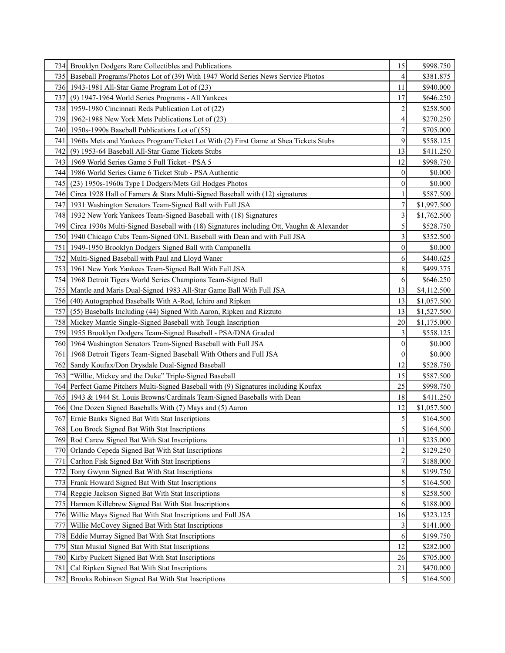|                  | 734 Brooklyn Dodgers Rare Collectibles and Publications                                      | 15               | \$998.750   |
|------------------|----------------------------------------------------------------------------------------------|------------------|-------------|
| 735 I            | Baseball Programs/Photos Lot of (39) With 1947 World Series News Service Photos              | 4                | \$381.875   |
|                  | 736 1943-1981 All-Star Game Program Lot of (23)                                              | 11               | \$940.000   |
| 737I             | (9) 1947-1964 World Series Programs - All Yankees                                            | 17               | \$646.250   |
|                  | 738 1959-1980 Cincinnati Reds Publication Lot of (22)                                        | $\overline{c}$   | \$258.500   |
|                  | 739 1962-1988 New York Mets Publications Lot of (23)                                         | 4                | \$270.250   |
|                  | 740 1950s-1990s Baseball Publications Lot of (55)                                            | 7                | \$705.000   |
| 741 I            | 1960s Mets and Yankees Program/Ticket Lot With (2) First Game at Shea Tickets Stubs          | 9                | \$558.125   |
| 742              | (9) 1953-64 Baseball All-Star Game Tickets Stubs                                             | 13               | \$411.250   |
|                  | 743 1969 World Series Game 5 Full Ticket - PSA 5                                             | 12               | \$998.750   |
|                  | 744   1986 World Series Game 6 Ticket Stub - PSA Authentic                                   | $\boldsymbol{0}$ | \$0.000     |
|                  | 745 (23) 1950s-1960s Type I Dodgers/Mets Gil Hodges Photos                                   | $\overline{0}$   | \$0.000     |
|                  | 746 Circa 1928 Hall of Famers & Stars Multi-Signed Baseball with (12) signatures             |                  | \$587.500   |
|                  | 747 1931 Washington Senators Team-Signed Ball with Full JSA                                  | 7                | \$1,997.500 |
|                  | 748 1932 New York Yankees Team-Signed Baseball with (18) Signatures                          | 3                | \$1,762.500 |
|                  | 749 Circa 1930s Multi-Signed Baseball with (18) Signatures including Ott, Vaughn & Alexander | 5                | \$528.750   |
|                  | 750 1940 Chicago Cubs Team-Signed ONL Baseball with Dean and with Full JSA                   | 3                | \$352.500   |
|                  | 751   1949-1950 Brooklyn Dodgers Signed Ball with Campanella                                 | $\overline{0}$   | \$0.000     |
|                  | 752 Multi-Signed Baseball with Paul and Lloyd Waner                                          | 6                | \$440.625   |
|                  | 753 1961 New York Yankees Team-Signed Ball With Full JSA                                     | 8                | \$499.375   |
|                  | 754 1968 Detroit Tigers World Series Champions Team-Signed Ball                              | 6                | \$646.250   |
|                  | 755 Mantle and Maris Dual-Signed 1983 All-Star Game Ball With Full JSA                       | 13               | \$4,112.500 |
|                  | 756 (40) Autographed Baseballs With A-Rod, Ichiro and Ripken                                 | 13               | \$1,057.500 |
| 757I             | (55) Baseballs Including (44) Signed With Aaron, Ripken and Rizzuto                          | 13               | \$1,527.500 |
|                  | 758 Mickey Mantle Single-Signed Baseball with Tough Inscription                              | 20               | \$1,175.000 |
|                  | 759 1955 Brooklyn Dodgers Team-Signed Baseball - PSA/DNA Graded                              | 3                | \$558.125   |
|                  | 760 1964 Washington Senators Team-Signed Baseball with Full JSA                              | $\overline{0}$   | \$0.000     |
| 761              | 1968 Detroit Tigers Team-Signed Baseball With Others and Full JSA                            | $\overline{0}$   | \$0.000     |
| 762 <sub>l</sub> | Sandy Koufax/Don Drysdale Dual-Signed Baseball                                               | 12               | \$528.750   |
|                  | 763   "Willie, Mickey and the Duke" Triple-Signed Baseball                                   | 15               | \$587.500   |
|                  | 764 Perfect Game Pitchers Multi-Signed Baseball with (9) Signatures including Koufax         | 25               | \$998.750   |
|                  | 765 1943 & 1944 St. Louis Browns/Cardinals Team-Signed Baseballs with Dean                   | 18               | \$411.250   |
| 7661             | One Dozen Signed Baseballs With (7) Mays and (5) Aaron                                       | 12               | \$1,057.500 |
| 767 <sup> </sup> | Ernie Banks Signed Bat With Stat Inscriptions                                                | 5                | \$164.500   |
|                  | 768 Lou Brock Signed Bat With Stat Inscriptions                                              | 5                | \$164.500   |
|                  | 769 Rod Carew Signed Bat With Stat Inscriptions                                              | 11               | \$235.000   |
|                  | 770 Orlando Cepeda Signed Bat With Stat Inscriptions                                         | 2                | \$129.250   |
| 771              | Carlton Fisk Signed Bat With Stat Inscriptions                                               | 7                | \$188.000   |
| 7721             | Tony Gwynn Signed Bat With Stat Inscriptions                                                 | 8                | \$199.750   |
| 773              | Frank Howard Signed Bat With Stat Inscriptions                                               | 5                | \$164.500   |
|                  | 774 Reggie Jackson Signed Bat With Stat Inscriptions                                         | 8                | \$258.500   |
|                  | 775 Harmon Killebrew Signed Bat With Stat Inscriptions                                       | 6                | \$188.000   |
|                  | 776 Willie Mays Signed Bat With Stat Inscriptions and Full JSA                               | 16               | \$323.125   |
| 777              | Willie McCovey Signed Bat With Stat Inscriptions                                             | 3                | \$141.000   |
| 778              | Eddie Murray Signed Bat With Stat Inscriptions                                               | 6                | \$199.750   |
| 779              | Stan Musial Signed Bat With Stat Inscriptions                                                | 12               | \$282.000   |
| 780              | Kirby Puckett Signed Bat With Stat Inscriptions                                              | 26               | \$705.000   |
| 7811             | Cal Ripken Signed Bat With Stat Inscriptions                                                 | 21               | \$470.000   |
| 782              | Brooks Robinson Signed Bat With Stat Inscriptions                                            | 5                | \$164.500   |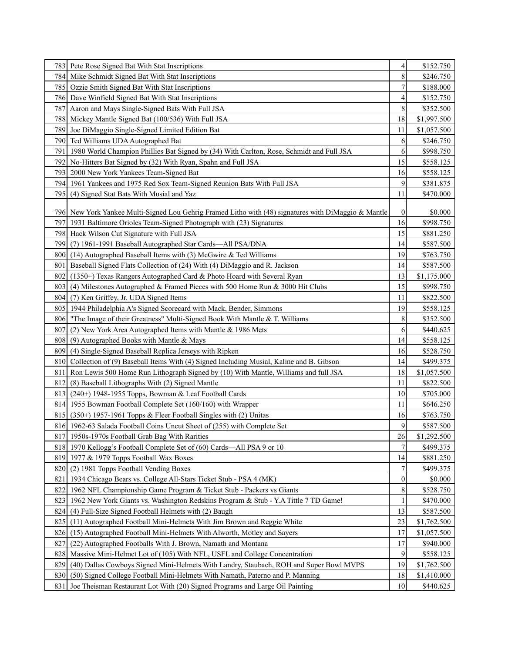|       | 783 Pete Rose Signed Bat With Stat Inscriptions                                                      | 4              | \$152.750   |
|-------|------------------------------------------------------------------------------------------------------|----------------|-------------|
| 784 I | Mike Schmidt Signed Bat With Stat Inscriptions                                                       | 8              | \$246.750   |
| 785   | Ozzie Smith Signed Bat With Stat Inscriptions                                                        | 7              | \$188.000   |
| 786   | Dave Winfield Signed Bat With Stat Inscriptions                                                      | 4              | \$152.750   |
| 787I  | Aaron and Mays Single-Signed Bats With Full JSA                                                      | 8              | \$352.500   |
|       | 788 Mickey Mantle Signed Bat (100/536) With Full JSA                                                 | 18             | \$1,997.500 |
|       | 789 Joe DiMaggio Single-Signed Limited Edition Bat                                                   | 11             | \$1,057.500 |
| 790   | Ted Williams UDA Autographed Bat                                                                     | 6              | \$246.750   |
| 791   | 1980 World Champion Phillies Bat Signed by (34) With Carlton, Rose, Schmidt and Full JSA             | 6              | \$998.750   |
| 792   | No-Hitters Bat Signed by (32) With Ryan, Spahn and Full JSA                                          | 15             | \$558.125   |
| 793   | 2000 New York Yankees Team-Signed Bat                                                                | 16             | \$558.125   |
| 7941  | 1961 Yankees and 1975 Red Sox Team-Signed Reunion Bats With Full JSA                                 | 9              | \$381.875   |
| 795   | (4) Signed Stat Bats With Musial and Yaz                                                             | 11             | \$470.000   |
|       |                                                                                                      |                |             |
|       | 796 New York Yankee Multi-Signed Lou Gehrig Framed Litho with (48) signatures with DiMaggio & Mantle | 0              | \$0.000     |
|       | 797   1931 Baltimore Orioles Team-Signed Photograph with (23) Signatures                             | 16             | \$998.750   |
|       | 798 Hack Wilson Cut Signature with Full JSA                                                          | 15             | \$881.250   |
|       | 799 (7) 1961-1991 Baseball Autographed Star Cards—All PSA/DNA                                        | 14             | \$587.500   |
| 8001  | (14) Autographed Baseball Items with (3) McGwire & Ted Williams                                      | 19             | \$763.750   |
| 801   | Baseball Signed Flats Collection of (24) With (4) DiMaggio and R. Jackson                            | 14             | \$587.500   |
| 802   | (1350+) Texas Rangers Autographed Card & Photo Hoard with Several Ryan                               | 13             | \$1,175.000 |
| 803   | (4) Milestones Autographed & Framed Pieces with 500 Home Run & 3000 Hit Clubs                        | 15             | \$998.750   |
| 804   | (7) Ken Griffey, Jr. UDA Signed Items                                                                | 11             | \$822.500   |
| 805   | 1944 Philadelphia A's Signed Scorecard with Mack, Bender, Simmons                                    | 19             | \$558.125   |
| 806   | "The Image of their Greatness" Multi-Signed Book With Mantle & T. Williams                           | 8              | \$352.500   |
| 807   | (2) New York Area Autographed Items with Mantle & 1986 Mets                                          | 6              | \$440.625   |
| 808   | (9) Autographed Books with Mantle & Mays                                                             | 14             | \$558.125   |
| 809   | (4) Single-Signed Baseball Replica Jerseys with Ripken                                               | 16             | \$528.750   |
| 8101  | Collection of (9) Baseball Items With (4) Signed Including Musial, Kaline and B. Gibson              | 14             | \$499.375   |
| 811   | Ron Lewis 500 Home Run Lithograph Signed by (10) With Mantle, Williams and full JSA                  | 18             | \$1,057.500 |
| 812   | (8) Baseball Lithographs With (2) Signed Mantle                                                      | 11             | \$822.500   |
| 813   | (240+) 1948-1955 Topps, Bowman & Leaf Football Cards                                                 | 10             | \$705.000   |
|       | 814 1955 Bowman Football Complete Set (160/160) with Wrapper                                         | 11             | \$646.250   |
| 815   | $(350+)$ 1957-1961 Topps & Fleer Football Singles with (2) Unitas                                    | 16             | \$763.750   |
| 816   | 1962-63 Salada Football Coins Uncut Sheet of (255) with Complete Set                                 | 9              | \$587.500   |
| 8171  | 1950s-1970s Football Grab Bag With Rarities                                                          | 26             | \$1,292.500 |
| 818   | 1970 Kellogg's Football Complete Set of (60) Cards—All PSA 9 or 10                                   | 7              | \$499.375   |
|       | 819 1977 & 1979 Topps Football Wax Boxes                                                             | 14             | \$881.250   |
| 820   | (2) 1981 Topps Football Vending Boxes                                                                | 7              | \$499.375   |
| 821   | 1934 Chicago Bears vs. College All-Stars Ticket Stub - PSA 4 (MK)                                    | $\overline{0}$ | \$0.000     |
| 822   | 1962 NFL Championship Game Program & Ticket Stub - Packers vs Giants                                 | 8              | \$528.750   |
| 823   | 1962 New York Giants vs. Washington Redskins Program & Stub - Y.A Tittle 7 TD Game!                  |                | \$470.000   |
| 824   | (4) Full-Size Signed Football Helmets with (2) Baugh                                                 | 13             | \$587.500   |
| 825   | (11) Autographed Football Mini-Helmets With Jim Brown and Reggie White                               | 23             | \$1,762.500 |
| 826   | (15) Autographed Football Mini-Helmets With Alworth, Motley and Sayers                               | 17             | \$1,057.500 |
| 827   | (22) Autographed Footballs With J. Brown, Namath and Montana                                         | 17             | \$940.000   |
| 828   | Massive Mini-Helmet Lot of (105) With NFL, USFL and College Concentration                            | 9              | \$558.125   |
| 829   | (40) Dallas Cowboys Signed Mini-Helmets With Landry, Staubach, ROH and Super Bowl MVPS               | 19             | \$1,762.500 |
| 830   | (50) Signed College Football Mini-Helmets With Namath, Paterno and P. Manning                        | 18             | \$1,410.000 |
| 831   | Joe Theisman Restaurant Lot With (20) Signed Programs and Large Oil Painting                         | 10             | \$440.625   |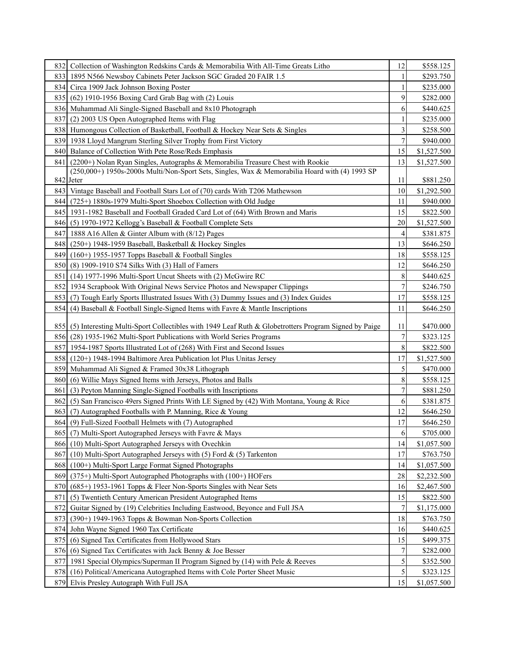|                  | 832 Collection of Washington Redskins Cards & Memorabilia With All-Time Greats Litho                     | 12             | \$558.125   |
|------------------|----------------------------------------------------------------------------------------------------------|----------------|-------------|
|                  | 833 1895 N566 Newsboy Cabinets Peter Jackson SGC Graded 20 FAIR 1.5                                      | 1              | \$293.750   |
|                  | 834 Circa 1909 Jack Johnson Boxing Poster                                                                | 1              | \$235.000   |
|                  | 835 (62) 1910-1956 Boxing Card Grab Bag with (2) Louis                                                   | 9              | \$282.000   |
|                  | 836 Muhammad Ali Single-Signed Baseball and 8x10 Photograph                                              | 6              | \$440.625   |
| 8371             | (2) 2003 US Open Autographed Items with Flag                                                             |                | \$235.000   |
|                  | 838 Humongous Collection of Basketball, Football & Hockey Near Sets & Singles                            | 3              | \$258.500   |
|                  | 839 1938 Lloyd Mangrum Sterling Silver Trophy from First Victory                                         | $\overline{7}$ | \$940.000   |
| 8401             | Balance of Collection With Pete Rose/Reds Emphasis                                                       | 15             | \$1,527.500 |
| 841              | (2200+) Nolan Ryan Singles, Autographs & Memorabilia Treasure Chest with Rookie                          | 13             | \$1,527.500 |
|                  | (250,000+) 1950s-2000s Multi/Non-Sport Sets, Singles, Wax & Memorabilia Hoard with (4) 1993 SP           |                |             |
|                  | 842 Jeter                                                                                                | 11             | \$881.250   |
|                  | 843 Vintage Baseball and Football Stars Lot of (70) cards With T206 Mathewson                            | 10             | \$1,292.500 |
|                  | 844 (725+) 1880s-1979 Multi-Sport Shoebox Collection with Old Judge                                      | 11             | \$940.000   |
|                  | 845   1931-1982 Baseball and Football Graded Card Lot of (64) With Brown and Maris                       | 15             | \$822.500   |
| 8461             | (5) 1970-1972 Kellogg's Baseball & Football Complete Sets                                                | 20             | \$1,527.500 |
|                  | 847 1888 A16 Allen & Ginter Album with (8/12) Pages                                                      | $\overline{4}$ | \$381.875   |
| 8481             | $(250+)$ 1948-1959 Baseball, Basketball & Hockey Singles                                                 | 13             | \$646.250   |
| 849              | $(160+)$ 1955-1957 Topps Baseball & Football Singles                                                     | 18             | \$558.125   |
|                  | 850 (8) 1909-1910 S74 Silks With (3) Hall of Famers                                                      | 12             | \$646.250   |
|                  | 851 (14) 1977-1996 Multi-Sport Uncut Sheets with (2) McGwire RC                                          | 8              | \$440.625   |
|                  | 852 1934 Scrapbook With Original News Service Photos and Newspaper Clippings                             | $\overline{7}$ | \$246.750   |
|                  | 853 (7) Tough Early Sports Illustrated Issues With (3) Dummy Issues and (3) Index Guides                 | 17             | \$558.125   |
| 854 I            | (4) Baseball & Football Single-Signed Items with Favre & Mantle Inscriptions                             | 11             | \$646.250   |
|                  |                                                                                                          |                |             |
|                  | 855 (5) Interesting Multi-Sport Collectibles with 1949 Leaf Ruth & Globetrotters Program Signed by Paige | 11             | \$470.000   |
|                  | 856 (28) 1935-1962 Multi-Sport Publications with World Series Programs                                   | 7              | \$323.125   |
|                  | 857 1954-1987 Sports Illustrated Lot of (268) With First and Second Issues                               | 8              | \$822.500   |
|                  | 858 (120+) 1948-1994 Baltimore Area Publication lot Plus Unitas Jersey                                   | 17             | \$1,527.500 |
| 859              | Muhammad Ali Signed & Framed 30x38 Lithograph                                                            | 5              | \$470.000   |
| 8601             | (6) Willie Mays Signed Items with Jerseys, Photos and Balls                                              | $\,$ 8 $\,$    | \$558.125   |
| 861              | (3) Peyton Manning Single-Signed Footballs with Inscriptions                                             | $\overline{7}$ | \$881.250   |
| 8621             | (5) San Francisco 49ers Signed Prints With LE Signed by (42) With Montana, Young & Rice                  | 6              | \$381.875   |
| 863              | (7) Autographed Footballs with P. Manning, Rice & Young                                                  | 12             | \$646.250   |
| 864 <sub>l</sub> | (9) Full-Sized Football Helmets with (7) Autographed                                                     | 17             | \$646.250   |
|                  | 865 (7) Multi-Sport Autographed Jerseys with Favre & Mays                                                | 6              | \$705.000   |
| 8661             | (10) Multi-Sport Autographed Jerseys with Ovechkin                                                       | 14             | \$1,057.500 |
| 867              | (10) Multi-Sport Autographed Jerseys with (5) Ford & (5) Tarkenton                                       | 17             | \$763.750   |
| 868              | (100+) Multi-Sport Large Format Signed Photographs                                                       | 14             | \$1,057.500 |
| 869              | (375+) Multi-Sport Autographed Photographs with (100+) HOFers                                            | 28             | \$2,232.500 |
| 870              | (685+) 1953-1961 Topps & Fleer Non-Sports Singles with Near Sets                                         | 16             | \$2,467.500 |
| 871              | (5) Twentieth Century American President Autographed Items                                               | 15             | \$822.500   |
| 872              | Guitar Signed by (19) Celebrities Including Eastwood, Beyonce and Full JSA                               | $\sqrt{ }$     | \$1,175.000 |
| 873              | (390+) 1949-1963 Topps & Bowman Non-Sports Collection                                                    | 18             | \$763.750   |
|                  | 874 John Wayne Signed 1960 Tax Certificate                                                               | 16             | \$440.625   |
| 875              | (6) Signed Tax Certificates from Hollywood Stars                                                         | 15             | \$499.375   |
| 876              | (6) Signed Tax Certificates with Jack Benny $\&$ Joe Besser                                              | 7              | \$282.000   |
|                  | 877   1981 Special Olympics/Superman II Program Signed by (14) with Pele & Reeves                        | 5              | \$352.500   |
| 878              | (16) Political/Americana Autographed Items with Cole Porter Sheet Music                                  | 5              | \$323.125   |
|                  | 879 Elvis Presley Autograph With Full JSA                                                                | 15             | \$1,057.500 |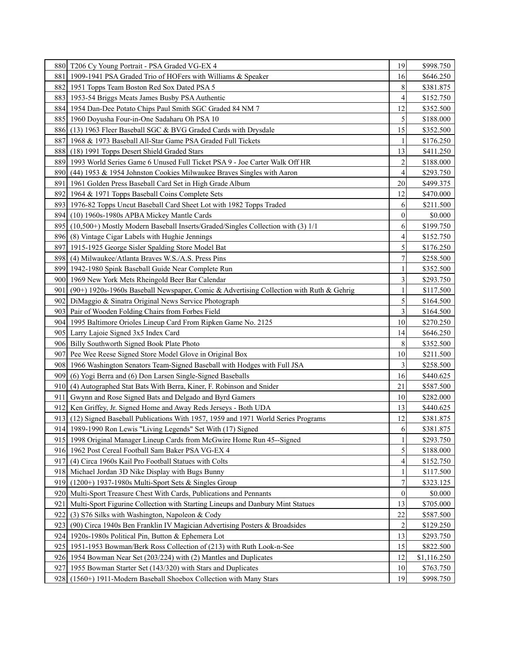|      | 880 T206 Cy Young Portrait - PSA Graded VG-EX 4                                         | 19               | \$998.750   |
|------|-----------------------------------------------------------------------------------------|------------------|-------------|
| 881  | 1909-1941 PSA Graded Trio of HOFers with Williams & Speaker                             | 16               | \$646.250   |
|      | 882 1951 Topps Team Boston Red Sox Dated PSA 5                                          | 8                | \$381.875   |
|      | 883 1953-54 Briggs Meats James Busby PSA Authentic                                      | 4                | \$152.750   |
|      | 884 1954 Dan-Dee Potato Chips Paul Smith SGC Graded 84 NM 7                             | 12               | \$352.500   |
|      | 885 1960 Doyusha Four-in-One Sadaharu Oh PSA 10                                         | 5                | \$188.000   |
| 8861 | (13) 1963 Fleer Baseball SGC & BVG Graded Cards with Drysdale                           | 15               | \$352.500   |
| 887  | 1968 & 1973 Baseball All-Star Game PSA Graded Full Tickets                              |                  | \$176.250   |
| 888  | (18) 1991 Topps Desert Shield Graded Stars                                              | 13               | \$411.250   |
| 889  | 1993 World Series Game 6 Unused Full Ticket PSA 9 - Joe Carter Walk Off HR              | $\overline{c}$   | \$188.000   |
|      | 890 (44) 1953 & 1954 Johnston Cookies Milwaukee Braves Singles with Aaron               | 4                | \$293.750   |
| 891  | 1961 Golden Press Baseball Card Set in High Grade Album                                 | 20               | \$499.375   |
| 892  | 1964 & 1971 Topps Baseball Coins Complete Sets                                          | 12               | \$470.000   |
|      | 893 1976-82 Topps Uncut Baseball Card Sheet Lot with 1982 Topps Traded                  | 6                | \$211.500   |
|      | 894 (10) 1960s-1980s APBA Mickey Mantle Cards                                           | $\overline{0}$   | \$0.000     |
|      | 895 (10,500+) Mostly Modern Baseball Inserts/Graded/Singles Collection with (3) 1/1     | 6                | \$199.750   |
|      | 896 (8) Vintage Cigar Labels with Hughie Jennings                                       | 4                | \$152.750   |
| 8971 | 1915-1925 George Sisler Spalding Store Model Bat                                        | 5                | \$176.250   |
|      | 898 (4) Milwaukee/Atlanta Braves W.S./A.S. Press Pins                                   | 7                | \$258.500   |
|      | 899 1942-1980 Spink Baseball Guide Near Complete Run                                    |                  | \$352.500   |
| 900L | 1969 New York Mets Rheingold Beer Bar Calendar                                          | 3                | \$293.750   |
| 901  | (90+) 1920s-1960s Baseball Newspaper, Comic & Advertising Collection with Ruth & Gehrig | 1                | \$117.500   |
|      | 902 DiMaggio & Sinatra Original News Service Photograph                                 | 5                | \$164.500   |
|      | 903 Pair of Wooden Folding Chairs from Forbes Field                                     | 3                | \$164.500   |
|      | 904 1995 Baltimore Orioles Lineup Card From Ripken Game No. 2125                        | 10               | \$270.250   |
|      | 905 Larry Lajoie Signed 3x5 Index Card                                                  | 14               | \$646.250   |
|      | 906 Billy Southworth Signed Book Plate Photo                                            | 8                | \$352.500   |
| 907l | Pee Wee Reese Signed Store Model Glove in Original Box                                  | 10               | \$211.500   |
|      | 908 1966 Washington Senators Team-Signed Baseball with Hodges with Full JSA             | 3                | \$258.500   |
|      | 909 (6) Yogi Berra and (6) Don Larsen Single-Signed Baseballs                           | 16               | \$440.625   |
|      | 910 (4) Autographed Stat Bats With Berra, Kiner, F. Robinson and Snider                 | 21               | \$587.500   |
| 911  | Gwynn and Rose Signed Bats and Delgado and Byrd Gamers                                  | 10               | \$282.000   |
|      | 912 Ken Griffey, Jr. Signed Home and Away Reds Jerseys - Both UDA                       | 13               | \$440.625   |
|      | 913 (12) Signed Baseball Publications With 1957, 1959 and 1971 World Series Programs    | 12               | \$381.875   |
|      | 914 1989-1990 Ron Lewis "Living Legends" Set With (17) Signed                           | 6                | \$381.875   |
|      | 915 1998 Original Manager Lineup Cards from McGwire Home Run 45--Signed                 | 1                | \$293.750   |
|      | 916 1962 Post Cereal Football Sam Baker PSA VG-EX 4                                     | 5                | \$188.000   |
| 917  | (4) Circa 1960s Kail Pro Football Statues with Colts                                    | 4                | \$152.750   |
|      | 918 Michael Jordan 3D Nike Display with Bugs Bunny                                      |                  | \$117.500   |
| 919  | $(1200+)$ 1937-1980s Multi-Sport Sets & Singles Group                                   | 7                | \$323.125   |
|      | 920 Multi-Sport Treasure Chest With Cards, Publications and Pennants                    | $\boldsymbol{0}$ | \$0.000     |
| 921  | Multi-Sport Figurine Collection with Starting Lineups and Danbury Mint Statues          | 13               | \$705.000   |
| 922  | (3) S76 Silks with Washington, Napoleon & Cody                                          | 22               | \$587.500   |
| 923  | (90) Circa 1940s Ben Franklin IV Magician Advertising Posters & Broadsides              | $\overline{c}$   | \$129.250   |
| 9241 | 1920s-1980s Political Pin, Button & Ephemera Lot                                        | 13               | \$293.750   |
| 925  | 1951-1953 Bowman/Berk Ross Collection of (213) with Ruth Look-n-See                     | 15               | \$822.500   |
|      | 926 1954 Bowman Near Set (203/224) with (2) Mantles and Duplicates                      | 12               | \$1,116.250 |
| 9271 | 1955 Bowman Starter Set (143/320) with Stars and Duplicates                             | 10               | \$763.750   |
| 928  | (1560+) 1911-Modern Baseball Shoebox Collection with Many Stars                         | 19               | \$998.750   |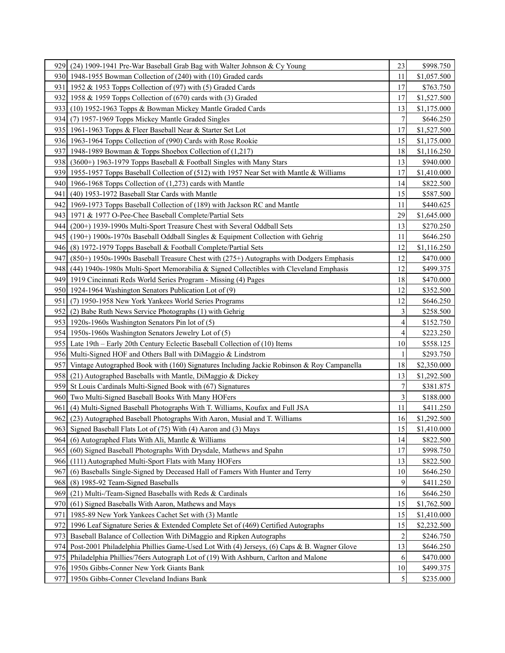| 9291  | (24) 1909-1941 Pre-War Baseball Grab Bag with Walter Johnson & Cy Young                       | 23             | \$998.750   |
|-------|-----------------------------------------------------------------------------------------------|----------------|-------------|
|       | 930 1948-1955 Bowman Collection of (240) with (10) Graded cards                               | 11             | \$1,057.500 |
|       | 931   1952 & 1953 Topps Collection of (97) with (5) Graded Cards                              | 17             | \$763.750   |
|       | 932 1958 & 1959 Topps Collection of (670) cards with (3) Graded                               | 17             | \$1,527.500 |
|       | 933 (10) 1952-1963 Topps & Bowman Mickey Mantle Graded Cards                                  | 13             | \$1,175.000 |
|       | 934 (7) 1957-1969 Topps Mickey Mantle Graded Singles                                          | 7              | \$646.250   |
|       | 935   1961-1963 Topps & Fleer Baseball Near & Starter Set Lot                                 | 17             | \$1,527.500 |
|       | 936 1963-1964 Topps Collection of (990) Cards with Rose Rookie                                | 15             | \$1,175.000 |
| 937I  | 1948-1989 Bowman & Topps Shoebox Collection of (1,217)                                        | 18             | \$1,116.250 |
|       | 938 (3600+) 1963-1979 Topps Baseball & Football Singles with Many Stars                       | 13             | \$940.000   |
|       | 939 1955-1957 Topps Baseball Collection of (512) with 1957 Near Set with Mantle & Williams    | 17             | \$1,410.000 |
|       | 940 1966-1968 Topps Collection of (1,273) cards with Mantle                                   | 14             | \$822.500   |
| 941 I | (40) 1953-1972 Baseball Star Cards with Mantle                                                | 15             | \$587.500   |
|       | 942 1969-1973 Topps Baseball Collection of (189) with Jackson RC and Mantle                   | 11             | \$440.625   |
|       | 943 1971 & 1977 O-Pee-Chee Baseball Complete/Partial Sets                                     | 29             | \$1,645.000 |
| 944 I | (200+) 1939-1990s Multi-Sport Treasure Chest with Several Oddball Sets                        | 13             | \$270.250   |
|       | 945 (190+) 1900s-1970s Baseball Oddball Singles & Equipment Collection with Gehrig            | 11             | \$646.250   |
| 946I  | (8) 1972-1979 Topps Baseball & Football Complete/Partial Sets                                 | 12             | \$1,116.250 |
| 9471  | $(850+)$ 1950s-1990s Baseball Treasure Chest with $(275+)$ Autographs with Dodgers Emphasis   | 12             | \$470.000   |
| 9481  | $(44)$ 1940s-1980s Multi-Sport Memorabilia & Signed Collectibles with Cleveland Emphasis      | 12             | \$499.375   |
|       | 949   1919 Cincinnati Reds World Series Program - Missing (4) Pages                           | 18             | \$470.000   |
|       | 950   1924-1964 Washington Senators Publication Lot of (9)                                    | 12             | \$352.500   |
| 951 I | (7) 1950-1958 New York Yankees World Series Programs                                          | 12             | \$646.250   |
|       | 952 (2) Babe Ruth News Service Photographs (1) with Gehrig                                    | 3              | \$258.500   |
|       | 953 1920s-1960s Washington Senators Pin lot of (5)                                            | 4              | \$152.750   |
|       | 954 1950s-1960s Washington Senators Jewelry Lot of (5)                                        | 4              | \$223.250   |
|       | 955 Late 19th – Early 20th Century Eclectic Baseball Collection of (10) Items                 | 10             | \$558.125   |
|       | 956 Multi-Signed HOF and Others Ball with DiMaggio & Lindstrom                                | 1              | \$293.750   |
|       | 957 Vintage Autographed Book with (160) Signatures Including Jackie Robinson & Roy Campanella | 18             | \$2,350.000 |
|       | 958 (21) Autographed Baseballs with Mantle, DiMaggio & Dickey                                 | 13             | \$1,292.500 |
|       | 959 St Louis Cardinals Multi-Signed Book with (67) Signatures                                 | 7              | \$381.875   |
|       | 960 Two Multi-Signed Baseball Books With Many HOFers                                          | 3              | \$188.000   |
| 961   | (4) Multi-Signed Baseball Photographs With T. Williams, Koufax and Full JSA                   | 11             | \$411.250   |
| 962 I | (23) Autographed Baseball Photographs With Aaron, Musial and T. Williams                      | 16             | \$1,292.500 |
|       | 963 Signed Baseball Flats Lot of (75) With (4) Aaron and (3) Mays                             | 15             | \$1,410.000 |
|       | 964 (6) Autographed Flats With Ali, Mantle & Williams                                         | 14             | \$822.500   |
| 965 I | (60) Signed Baseball Photographs With Drysdale, Mathews and Spahn                             | 17             | \$998.750   |
| 9661  | (111) Autographed Multi-Sport Flats with Many HOFers                                          | 13             | \$822.500   |
| 967   | (6) Baseballs Single-Signed by Deceased Hall of Famers With Hunter and Terry                  | 10             | \$646.250   |
| 968   | (8) 1985-92 Team-Signed Baseballs                                                             | 9              | \$411.250   |
| 969   | (21) Multi-/Team-Signed Baseballs with Reds & Cardinals                                       | 16             | \$646.250   |
| 970   | (61) Signed Baseballs With Aaron, Mathews and Mays                                            | 15             | \$1,762.500 |
| 971   | 1985-89 New York Yankees Cachet Set with (3) Mantle                                           | 15             | \$1,410.000 |
| 972   | 1996 Leaf Signature Series & Extended Complete Set of (469) Certified Autographs              | 15             | \$2,232.500 |
| 9731  | Baseball Balance of Collection With DiMaggio and Ripken Autographs                            | $\overline{c}$ | \$246.750   |
| 974I  | Post-2001 Philadelphia Phillies Game-Used Lot With (4) Jerseys, (6) Caps & B. Wagner Glove    | 13             | \$646.250   |
|       | 975 Philadelphia Phillies/76ers Autograph Lot of (19) With Ashburn, Carlton and Malone        | 6              | \$470.000   |
|       | 976 1950s Gibbs-Conner New York Giants Bank                                                   | 10             | \$499.375   |
|       | 977 1950s Gibbs-Conner Cleveland Indians Bank                                                 | 5              | \$235.000   |